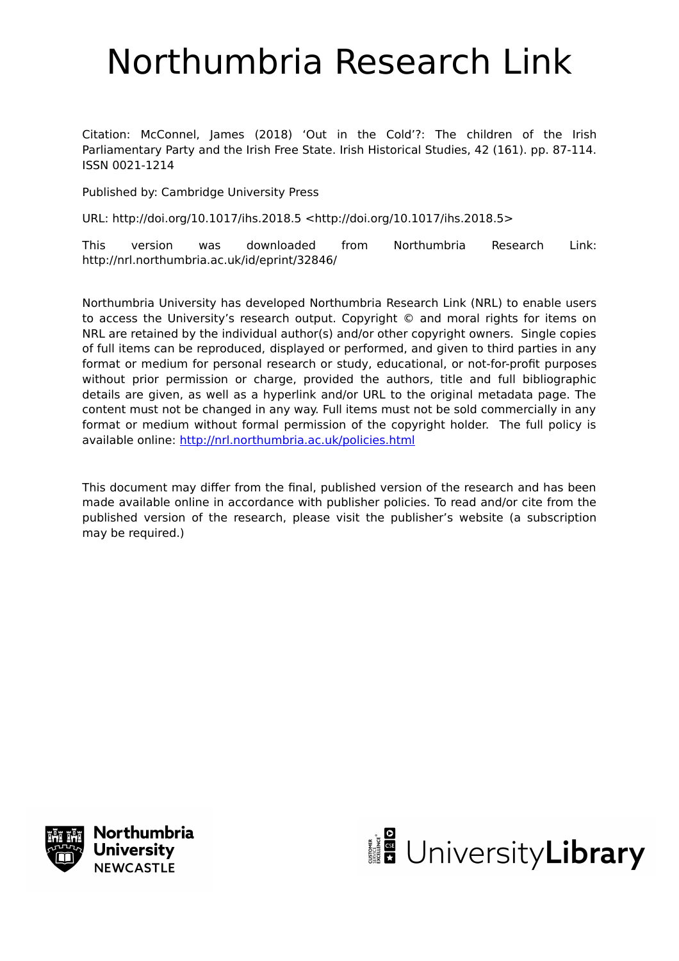# Northumbria Research Link

Citation: McConnel, James (2018) 'Out in the Cold'?: The children of the Irish Parliamentary Party and the Irish Free State. Irish Historical Studies, 42 (161). pp. 87-114. ISSN 0021-1214

Published by: Cambridge University Press

URL: http://doi.org/10.1017/ihs.2018.5 <http://doi.org/10.1017/ihs.2018.5>

This version was downloaded from Northumbria Research Link: http://nrl.northumbria.ac.uk/id/eprint/32846/

Northumbria University has developed Northumbria Research Link (NRL) to enable users to access the University's research output. Copyright © and moral rights for items on NRL are retained by the individual author(s) and/or other copyright owners. Single copies of full items can be reproduced, displayed or performed, and given to third parties in any format or medium for personal research or study, educational, or not-for-profit purposes without prior permission or charge, provided the authors, title and full bibliographic details are given, as well as a hyperlink and/or URL to the original metadata page. The content must not be changed in any way. Full items must not be sold commercially in any format or medium without formal permission of the copyright holder. The full policy is available online:<http://nrl.northumbria.ac.uk/policies.html>

This document may differ from the final, published version of the research and has been made available online in accordance with publisher policies. To read and/or cite from the published version of the research, please visit the publisher's website (a subscription may be required.)



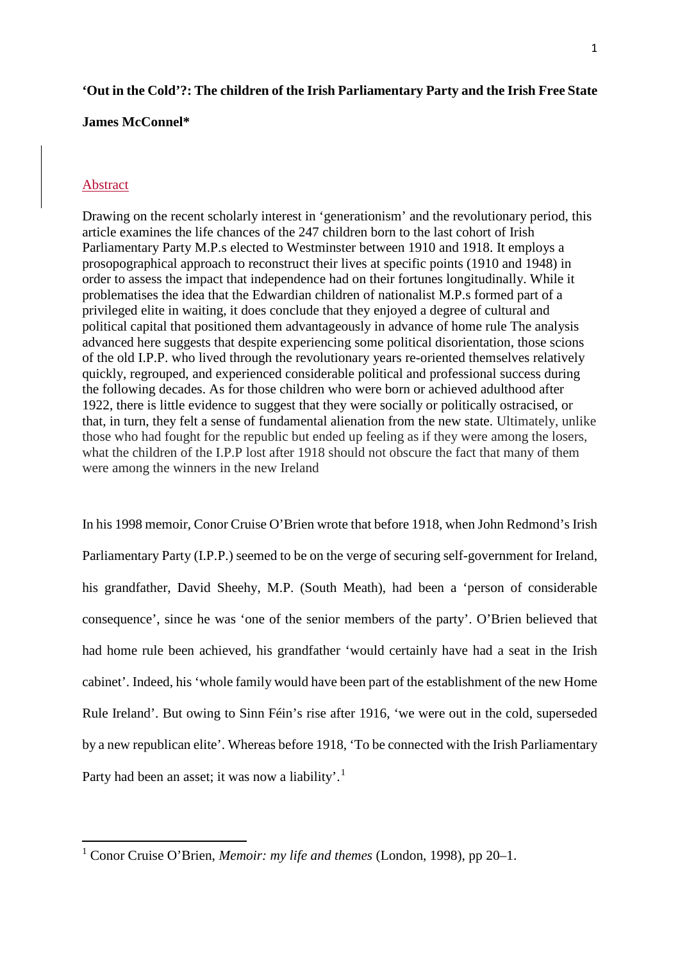## **'Out in the Cold'?: The children of the Irish Parliamentary Party and the Irish Free State**

## **James McConnel\***

### Abstract

 $\overline{a}$ 

Drawing on the recent scholarly interest in 'generationism' and the revolutionary period, this article examines the life chances of the 247 children born to the last cohort of Irish Parliamentary Party M.P.s elected to Westminster between 1910 and 1918. It employs a prosopographical approach to reconstruct their lives at specific points (1910 and 1948) in order to assess the impact that independence had on their fortunes longitudinally. While it problematises the idea that the Edwardian children of nationalist M.P.s formed part of a privileged elite in waiting, it does conclude that they enjoyed a degree of cultural and political capital that positioned them advantageously in advance of home rule The analysis advanced here suggests that despite experiencing some political disorientation, those scions of the old I.P.P. who lived through the revolutionary years re-oriented themselves relatively quickly, regrouped, and experienced considerable political and professional success during the following decades. As for those children who were born or achieved adulthood after 1922, there is little evidence to suggest that they were socially or politically ostracised, or that, in turn, they felt a sense of fundamental alienation from the new state. Ultimately, unlike those who had fought for the republic but ended up feeling as if they were among the losers, what the children of the I.P.P lost after 1918 should not obscure the fact that many of them were among the winners in the new Ireland

In his 1998 memoir, Conor Cruise O'Brien wrote that before 1918, when John Redmond's Irish Parliamentary Party (I.P.P.) seemed to be on the verge of securing self-government for Ireland, his grandfather, David Sheehy, M.P. (South Meath), had been a 'person of considerable consequence', since he was 'one of the senior members of the party'. O'Brien believed that had home rule been achieved, his grandfather 'would certainly have had a seat in the Irish cabinet'. Indeed, his 'whole family would have been part of the establishment of the new Home Rule Ireland'. But owing to Sinn Féin's rise after 1916, 'we were out in the cold, superseded by a new republican elite'. Whereas before 1918, 'To be connected with the Irish Parliamentary Party had been an asset; it was now a liability'.<sup>[1](#page-1-0)</sup>

<span id="page-1-0"></span><sup>1</sup> Conor Cruise O'Brien, *Memoir: my life and themes* (London, 1998), pp 20–1.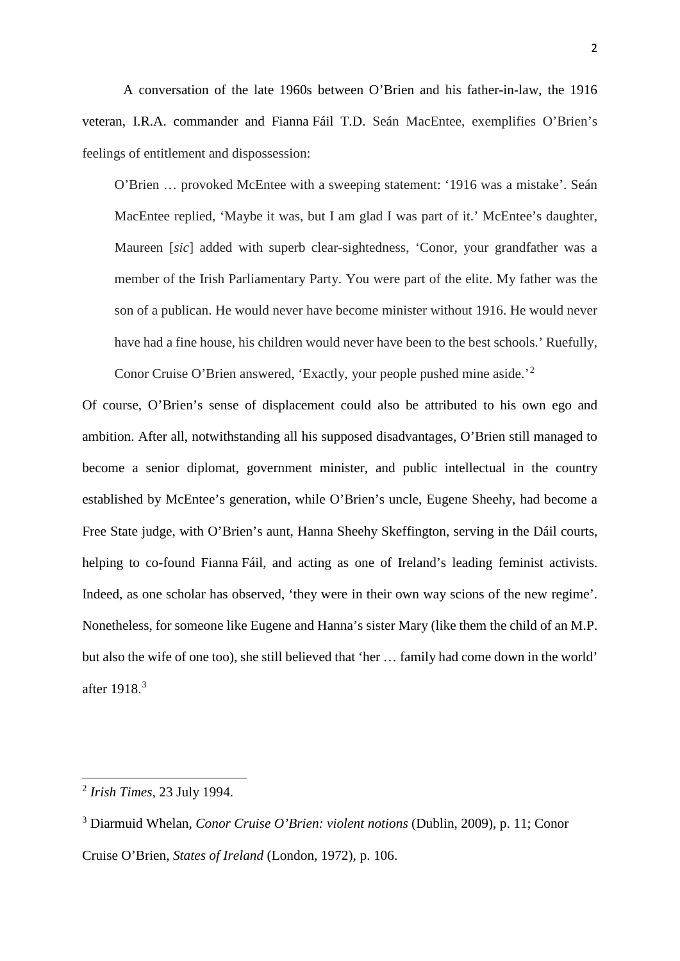A conversation of the late 1960s between O'Brien and his father-in-law, the 1916 veteran, I.R.A. commander and Fianna Fáil T.D. Seán MacEntee, exemplifies O'Brien's feelings of entitlement and dispossession:

O'Brien … provoked McEntee with a sweeping statement: '1916 was a mistake'. Seán MacEntee replied, 'Maybe it was, but I am glad I was part of it.' McEntee's daughter, Maureen [*sic*] added with superb clear-sightedness, 'Conor, your grandfather was a member of the Irish Parliamentary Party. You were part of the elite. My father was the son of a publican. He would never have become minister without 1916. He would never have had a fine house, his children would never have been to the best schools.' Ruefully,

Of course, O'Brien's sense of displacement could also be attributed to his own ego and ambition. After all, notwithstanding all his supposed disadvantages, O'Brien still managed to become a senior diplomat, government minister, and public intellectual in the country established by McEntee's generation, while O'Brien's uncle, Eugene Sheehy, had become a Free State judge, with O'Brien's aunt, Hanna Sheehy Skeffington, serving in the Dáil courts, helping to co-found Fianna Fáil, and acting as one of Ireland's leading feminist activists. Indeed, as one scholar has observed, 'they were in their own way scions of the new regime'. Nonetheless, for someone like Eugene and Hanna's sister Mary (like them the child of an M.P. but also the wife of one too), she still believed that 'her … family had come down in the world' after 1918.[3](#page-2-1)

Conor Cruise O'Brien answered, 'Exactly, your people pushed mine aside.'[2](#page-2-0)

<u>.</u>

<span id="page-2-0"></span><sup>2</sup> *Irish Times*, 23 July 1994.

<span id="page-2-1"></span><sup>3</sup> Diarmuid Whelan, *Conor Cruise O'Brien: violent notions* (Dublin, 2009), p. 11; Conor Cruise O'Brien, *States of Ireland* (London, 1972), p. 106.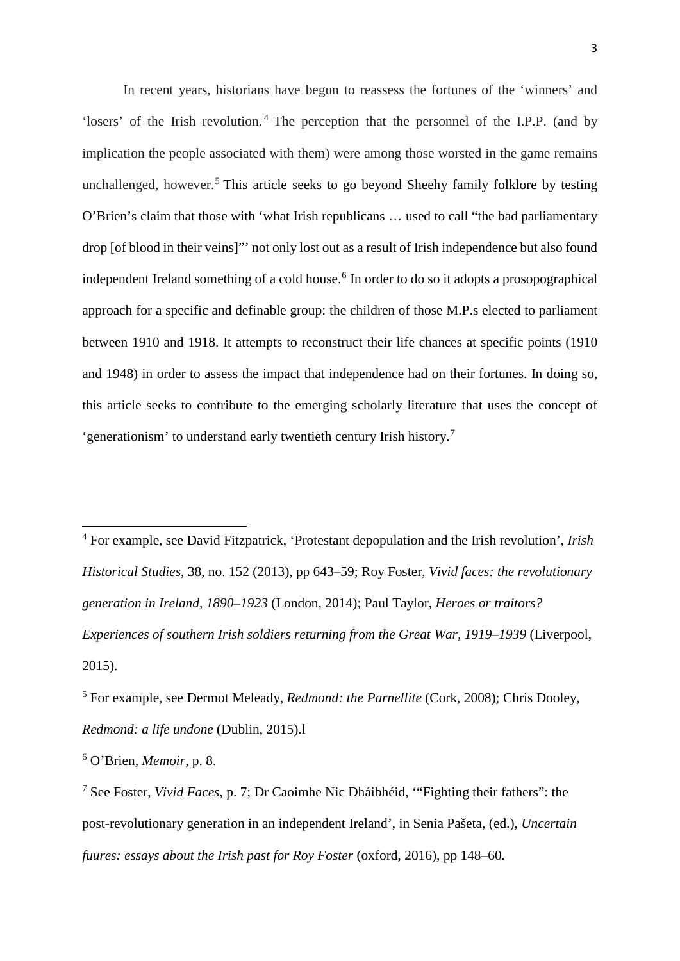In recent years, historians have begun to reassess the fortunes of the 'winners' and 'losers' of the Irish revolution. [4](#page-3-0) The perception that the personnel of the I.P.P. (and by implication the people associated with them) were among those worsted in the game remains unchallenged, however. [5](#page-3-1) This article seeks to go beyond Sheehy family folklore by testing O'Brien's claim that those with 'what Irish republicans … used to call "the bad parliamentary drop [of blood in their veins]"' not only lost out as a result of Irish independence but also found independent Ireland something of a cold house.<sup>[6](#page-3-2)</sup> In order to do so it adopts a prosopographical approach for a specific and definable group: the children of those M.P.s elected to parliament between 1910 and 1918. It attempts to reconstruct their life chances at specific points (1910 and 1948) in order to assess the impact that independence had on their fortunes. In doing so, this article seeks to contribute to the emerging scholarly literature that uses the concept of 'generationism' to understand early twentieth century Irish history.[7](#page-3-3)

<span id="page-3-0"></span><sup>4</sup> For example, see David Fitzpatrick, 'Protestant depopulation and the Irish revolution', *Irish Historical Studies*, 38, no. 152 (2013), pp 643–59; Roy Foster, *Vivid faces: the revolutionary generation in Ireland, 1890–1923* (London, 2014); Paul Taylor, *Heroes or traitors? Experiences of southern Irish soldiers returning from the Great War, 1919–1939* (Liverpool, 2015).

<span id="page-3-1"></span><sup>5</sup> For example, see Dermot Meleady, *Redmond: the Parnellite* (Cork, 2008); Chris Dooley, *Redmond: a life undone* (Dublin, 2015).l

<span id="page-3-2"></span><sup>6</sup> O'Brien, *Memoir*, p. 8.

<u>.</u>

<span id="page-3-3"></span><sup>7</sup> See Foster, *Vivid Faces*, p. 7; Dr Caoimhe Nic Dháibhéid, '"Fighting their fathers": the post-revolutionary generation in an independent Ireland', in Senia Pašeta, (ed.), *Uncertain fuures: essays about the Irish past for Roy Foster (oxford, 2016), pp 148–60.*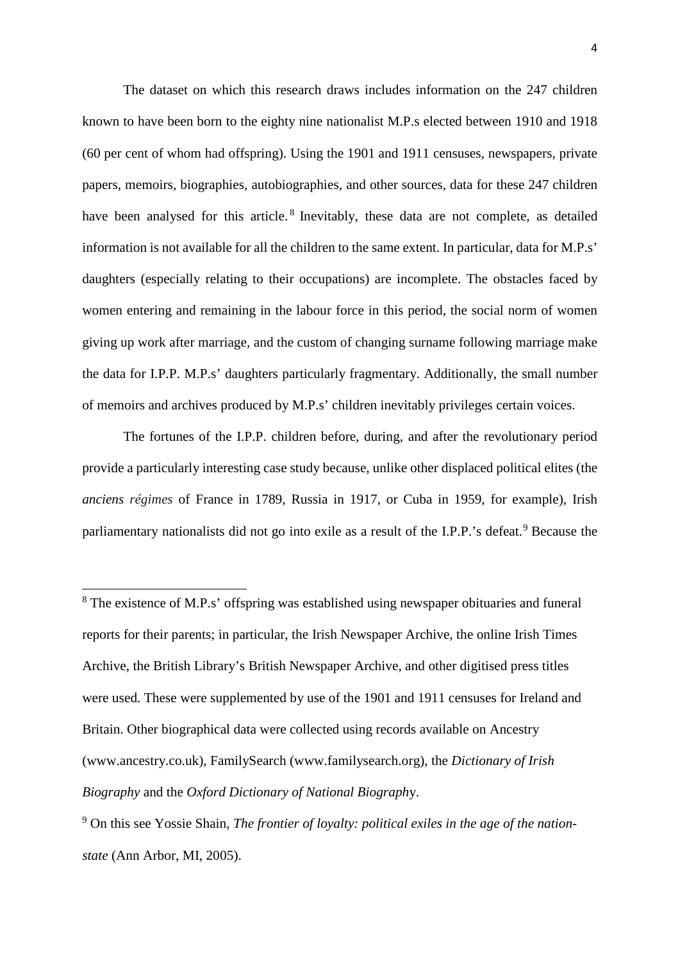The dataset on which this research draws includes information on the 247 children known to have been born to the eighty nine nationalist M.P.s elected between 1910 and 1918 (60 per cent of whom had offspring). Using the 1901 and 1911 censuses, newspapers, private papers, memoirs, biographies, autobiographies, and other sources, data for these 247 children have been analysed for this article.<sup>[8](#page-4-0)</sup> Inevitably, these data are not complete, as detailed information is not available for all the children to the same extent. In particular, data for M.P.s' daughters (especially relating to their occupations) are incomplete. The obstacles faced by women entering and remaining in the labour force in this period, the social norm of women giving up work after marriage, and the custom of changing surname following marriage make the data for I.P.P. M.P.s' daughters particularly fragmentary. Additionally, the small number of memoirs and archives produced by M.P.s' children inevitably privileges certain voices.

The fortunes of the I.P.P. children before, during, and after the revolutionary period provide a particularly interesting case study because, unlike other displaced political elites (the *anciens régimes* of France in 1789, Russia in 1917, or Cuba in 1959, for example), Irish parliamentary nationalists did not go into exile as a result of the I.P.P.'s defeat.<sup>[9](#page-4-1)</sup> Because the

<span id="page-4-0"></span><sup>&</sup>lt;sup>8</sup> The existence of M.P.s' offspring was established using newspaper obituaries and funeral reports for their parents; in particular, the Irish Newspaper Archive, the online Irish Times Archive, the British Library's British Newspaper Archive, and other digitised press titles were used. These were supplemented by use of the 1901 and 1911 censuses for Ireland and Britain. Other biographical data were collected using records available on Ancestry (www.ancestry.co.uk), FamilySearch (www.familysearch.org), the *Dictionary of Irish Biography* and the *Oxford Dictionary of National Biograph*y.

<span id="page-4-1"></span><sup>9</sup> On this see Yossie Shain, *The frontier of loyalty: political exiles in the age of the nationstate* (Ann Arbor, MI, 2005).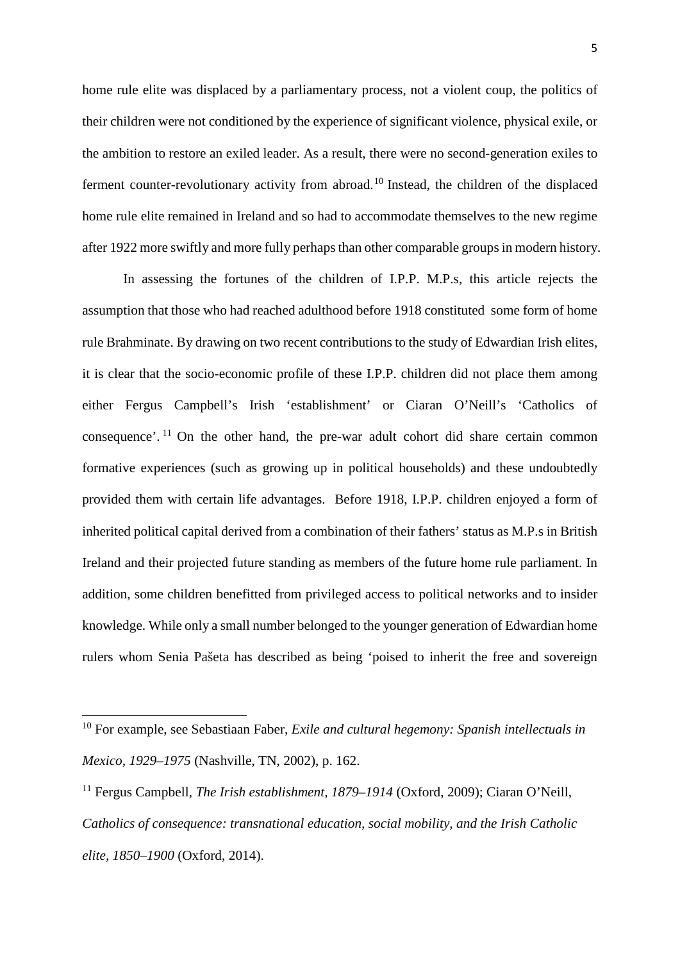home rule elite was displaced by a parliamentary process, not a violent coup, the politics of their children were not conditioned by the experience of significant violence, physical exile, or the ambition to restore an exiled leader. As a result, there were no second-generation exiles to ferment counter-revolutionary activity from abroad.[10](#page-5-0) Instead, the children of the displaced home rule elite remained in Ireland and so had to accommodate themselves to the new regime after 1922 more swiftly and more fully perhaps than other comparable groups in modern history.

In assessing the fortunes of the children of I.P.P. M.P.s, this article rejects the assumption that those who had reached adulthood before 1918 constituted some form of home rule Brahminate. By drawing on two recent contributions to the study of Edwardian Irish elites, it is clear that the socio-economic profile of these I.P.P. children did not place them among either Fergus Campbell's Irish 'establishment' or Ciaran O'Neill's 'Catholics of consequence'. [11](#page-5-1) On the other hand, the pre-war adult cohort did share certain common formative experiences (such as growing up in political households) and these undoubtedly provided them with certain life advantages. Before 1918, I.P.P. children enjoyed a form of inherited political capital derived from a combination of their fathers' status as M.P.s in British Ireland and their projected future standing as members of the future home rule parliament. In addition, some children benefitted from privileged access to political networks and to insider knowledge. While only a small number belonged to the younger generation of Edwardian home rulers whom Senia Pašeta has described as being 'poised to inherit the free and sovereign

<span id="page-5-0"></span><sup>10</sup> For example, see Sebastiaan Faber, *Exile and cultural hegemony: Spanish intellectuals in Mexico, 1929–1975* (Nashville, TN, 2002), p. 162.

<span id="page-5-1"></span><sup>11</sup> Fergus Campbell, *The Irish establishment, 1879–1914* (Oxford, 2009); Ciaran O'Neill, *Catholics of consequence: transnational education, social mobility, and the Irish Catholic elite, 1850–1900* (Oxford, 2014).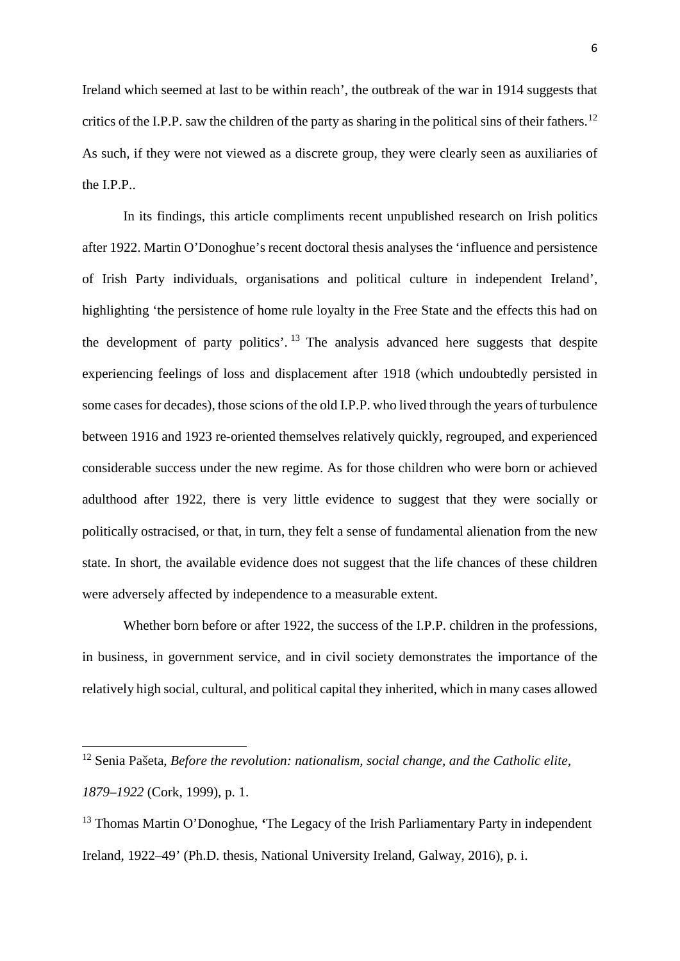Ireland which seemed at last to be within reach', the outbreak of the war in 1914 suggests that critics of the I.P.P. saw the children of the party as sharing in the political sins of their fathers.<sup>[12](#page-6-0)</sup> As such, if they were not viewed as a discrete group, they were clearly seen as auxiliaries of the I.P.P..

In its findings, this article compliments recent unpublished research on Irish politics after 1922. Martin O'Donoghue's recent doctoral thesis analyses the 'influence and persistence of Irish Party individuals, organisations and political culture in independent Ireland', highlighting 'the persistence of home rule loyalty in the Free State and the effects this had on the development of party politics'.  $^{13}$  $^{13}$  $^{13}$  The analysis advanced here suggests that despite experiencing feelings of loss and displacement after 1918 (which undoubtedly persisted in some cases for decades), those scions of the old I.P.P. who lived through the years of turbulence between 1916 and 1923 re-oriented themselves relatively quickly, regrouped, and experienced considerable success under the new regime. As for those children who were born or achieved adulthood after 1922, there is very little evidence to suggest that they were socially or politically ostracised, or that, in turn, they felt a sense of fundamental alienation from the new state. In short, the available evidence does not suggest that the life chances of these children were adversely affected by independence to a measurable extent.

Whether born before or after 1922, the success of the I.P.P. children in the professions, in business, in government service, and in civil society demonstrates the importance of the relatively high social, cultural, and political capital they inherited, which in many cases allowed

<span id="page-6-0"></span><sup>12</sup> Senia Pašeta, *Before the revolution: nationalism, social change, and the Catholic elite, 1879–1922* (Cork, 1999), p. 1.

<span id="page-6-1"></span><sup>13</sup> Thomas Martin O'Donoghue, **'**The Legacy of the Irish Parliamentary Party in independent Ireland, 1922–49' (Ph.D. thesis, National University Ireland, Galway, 2016), p. i.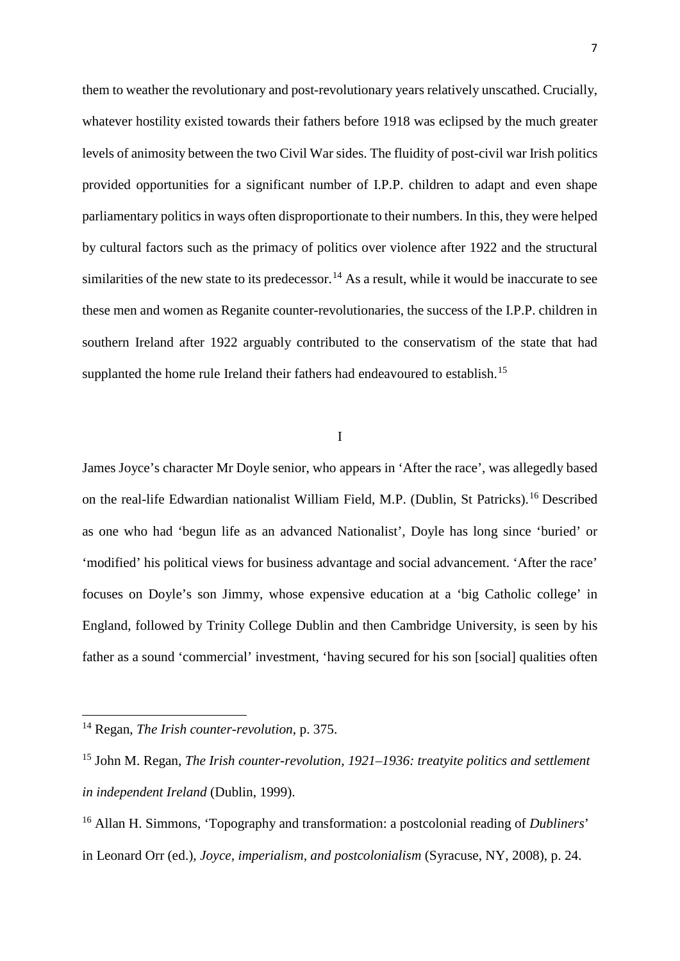them to weather the revolutionary and post-revolutionary years relatively unscathed. Crucially, whatever hostility existed towards their fathers before 1918 was eclipsed by the much greater levels of animosity between the two Civil War sides. The fluidity of post-civil war Irish politics provided opportunities for a significant number of I.P.P. children to adapt and even shape parliamentary politics in ways often disproportionate to their numbers. In this, they were helped by cultural factors such as the primacy of politics over violence after 1922 and the structural similarities of the new state to its predecessor.<sup>[14](#page-7-0)</sup> As a result, while it would be inaccurate to see these men and women as Reganite counter-revolutionaries, the success of the I.P.P. children in southern Ireland after 1922 arguably contributed to the conservatism of the state that had supplanted the home rule Ireland their fathers had endeavoured to establish.<sup>[15](#page-7-1)</sup>

I

James Joyce's character Mr Doyle senior, who appears in 'After the race', was allegedly based on the real-life Edwardian nationalist William Field, M.P. (Dublin, St Patricks). [16](#page-7-2) Described as one who had 'begun life as an advanced Nationalist', Doyle has long since 'buried' or 'modified' his political views for business advantage and social advancement. 'After the race' focuses on Doyle's son Jimmy, whose expensive education at a 'big Catholic college' in England, followed by Trinity College Dublin and then Cambridge University, is seen by his father as a sound 'commercial' investment, 'having secured for his son [social] qualities often

<span id="page-7-0"></span><sup>14</sup> Regan, *The Irish counter-revolution*, p. 375.

<span id="page-7-1"></span><sup>15</sup> John M. Regan, *The Irish counter-revolution, 1921–1936: treatyite politics and settlement in independent Ireland* (Dublin, 1999).

<span id="page-7-2"></span><sup>16</sup> Allan H. Simmons, 'Topography and transformation: a postcolonial reading of *Dubliners*' in Leonard Orr (ed.), *Joyce, imperialism, and postcolonialism* (Syracuse, NY, 2008), p. 24.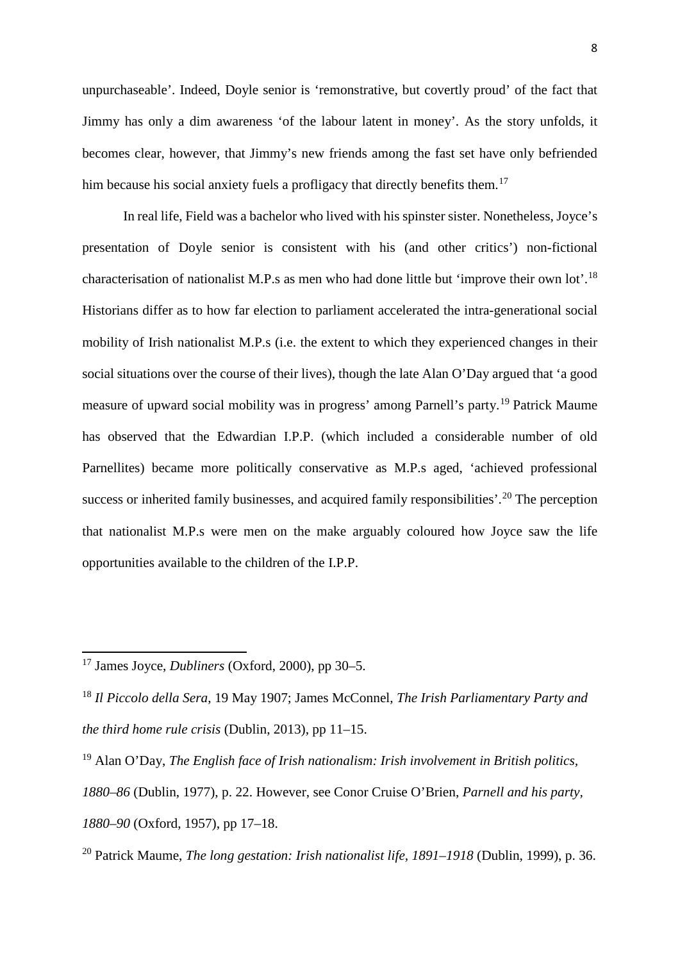unpurchaseable'. Indeed, Doyle senior is 'remonstrative, but covertly proud' of the fact that Jimmy has only a dim awareness 'of the labour latent in money'. As the story unfolds, it becomes clear, however, that Jimmy's new friends among the fast set have only befriended him because his social anxiety fuels a profligacy that directly benefits them.<sup>[17](#page-8-0)</sup>

In real life, Field was a bachelor who lived with his spinster sister. Nonetheless, Joyce's presentation of Doyle senior is consistent with his (and other critics') non-fictional characterisation of nationalist M.P.s as men who had done little but 'improve their own lot'.[18](#page-8-1) Historians differ as to how far election to parliament accelerated the intra-generational social mobility of Irish nationalist M.P.s (i.e. the extent to which they experienced changes in their social situations over the course of their lives), though the late Alan O'Day argued that 'a good measure of upward social mobility was in progress' among Parnell's party.<sup>[19](#page-8-2)</sup> Patrick Maume has observed that the Edwardian I.P.P. (which included a considerable number of old Parnellites) became more politically conservative as M.P.s aged, 'achieved professional success or inherited family businesses, and acquired family responsibilities'.<sup>[20](#page-8-3)</sup> The perception that nationalist M.P.s were men on the make arguably coloured how Joyce saw the life opportunities available to the children of the I.P.P.

<span id="page-8-0"></span><sup>17</sup> James Joyce, *Dubliners* (Oxford, 2000), pp 30–5.

<span id="page-8-1"></span><sup>18</sup> *Il Piccolo della Sera*, 19 May 1907; James McConnel, *The Irish Parliamentary Party and the third home rule crisis* (Dublin, 2013), pp 11–15.

<span id="page-8-2"></span><sup>19</sup> Alan O'Day, *The English face of Irish nationalism: Irish involvement in British politics, 1880–86* (Dublin, 1977), p. 22. However, see Conor Cruise O'Brien, *Parnell and his party, 1880–90* (Oxford, 1957), pp 17–18.

<span id="page-8-3"></span><sup>20</sup> Patrick Maume, *The long gestation: Irish nationalist life, 1891–1918* (Dublin, 1999), p. 36.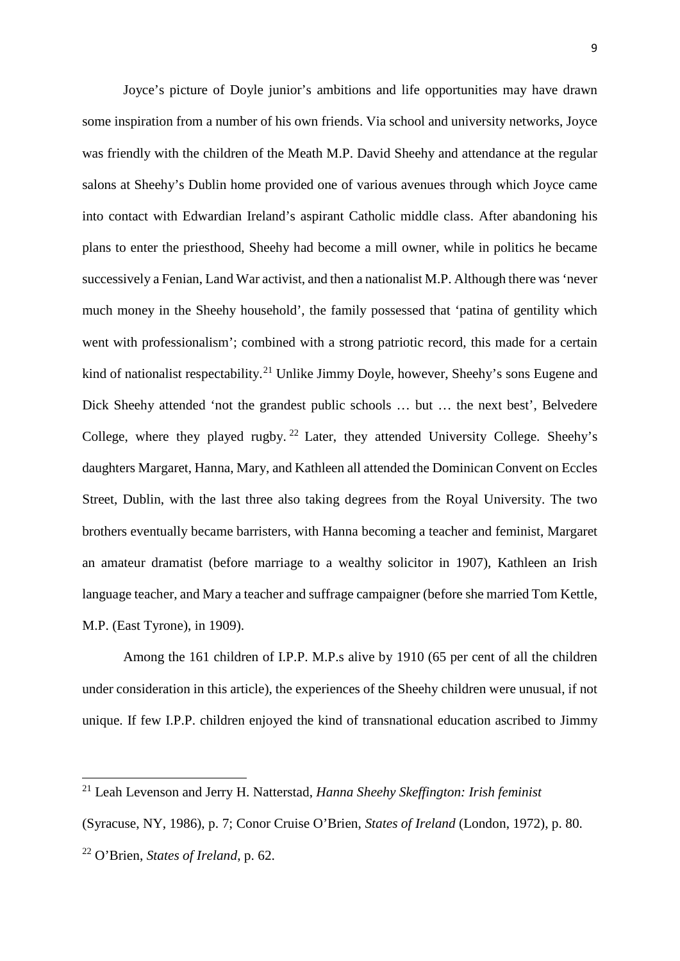Joyce's picture of Doyle junior's ambitions and life opportunities may have drawn some inspiration from a number of his own friends. Via school and university networks, Joyce was friendly with the children of the Meath M.P. David Sheehy and attendance at the regular salons at Sheehy's Dublin home provided one of various avenues through which Joyce came into contact with Edwardian Ireland's aspirant Catholic middle class. After abandoning his plans to enter the priesthood, Sheehy had become a mill owner, while in politics he became successively a Fenian, Land War activist, and then a nationalist M.P. Although there was 'never much money in the Sheehy household', the family possessed that 'patina of gentility which went with professionalism'; combined with a strong patriotic record, this made for a certain kind of nationalist respectability.<sup>[21](#page-9-0)</sup> Unlike Jimmy Doyle, however, Sheehy's sons Eugene and Dick Sheehy attended 'not the grandest public schools … but … the next best', Belvedere College, where they played rugby.  $^{22}$  $^{22}$  $^{22}$  Later, they attended University College. Sheehy's daughters Margaret, Hanna, Mary, and Kathleen all attended the Dominican Convent on Eccles Street, Dublin, with the last three also taking degrees from the Royal University. The two brothers eventually became barristers, with Hanna becoming a teacher and feminist, Margaret an amateur dramatist (before marriage to a wealthy solicitor in 1907), Kathleen an Irish language teacher, and Mary a teacher and suffrage campaigner (before she married Tom Kettle, M.P. (East Tyrone), in 1909).

Among the 161 children of I.P.P. M.P.s alive by 1910 (65 per cent of all the children under consideration in this article), the experiences of the Sheehy children were unusual, if not unique. If few I.P.P. children enjoyed the kind of transnational education ascribed to Jimmy

<u>.</u>

<span id="page-9-0"></span><sup>21</sup> Leah Levenson and Jerry H. Natterstad, *Hanna Sheehy Skeffington: Irish feminist*

<sup>(</sup>Syracuse, NY, 1986), p. 7; Conor Cruise O'Brien, *States of Ireland* (London, 1972), p. 80.

<span id="page-9-1"></span><sup>22</sup> O'Brien, *States of Ireland*, p. 62.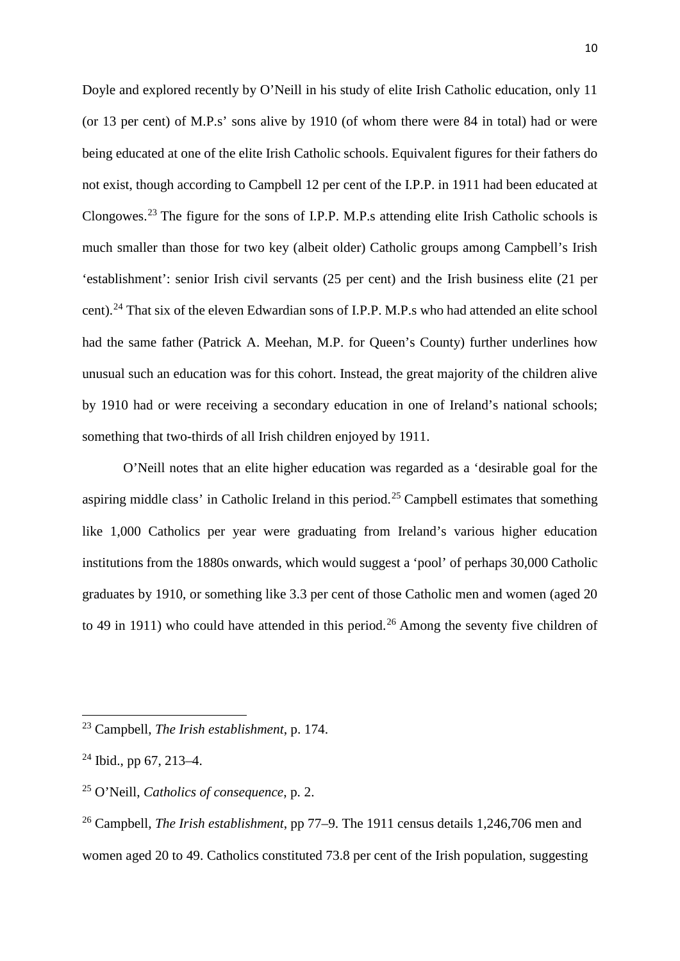Doyle and explored recently by O'Neill in his study of elite Irish Catholic education, only 11 (or 13 per cent) of M.P.s' sons alive by 1910 (of whom there were 84 in total) had or were being educated at one of the elite Irish Catholic schools. Equivalent figures for their fathers do not exist, though according to Campbell 12 per cent of the I.P.P. in 1911 had been educated at Clongowes.[23](#page-10-0) The figure for the sons of I.P.P. M.P.s attending elite Irish Catholic schools is much smaller than those for two key (albeit older) Catholic groups among Campbell's Irish 'establishment': senior Irish civil servants (25 per cent) and the Irish business elite (21 per cent). [24](#page-10-1) That six of the eleven Edwardian sons of I.P.P. M.P.s who had attended an elite school had the same father (Patrick A. Meehan, M.P. for Queen's County) further underlines how unusual such an education was for this cohort. Instead, the great majority of the children alive by 1910 had or were receiving a secondary education in one of Ireland's national schools; something that two-thirds of all Irish children enjoyed by 1911.

O'Neill notes that an elite higher education was regarded as a 'desirable goal for the aspiring middle class' in Catholic Ireland in this period.<sup>[25](#page-10-2)</sup> Campbell estimates that something like 1,000 Catholics per year were graduating from Ireland's various higher education institutions from the 1880s onwards, which would suggest a 'pool' of perhaps 30,000 Catholic graduates by 1910, or something like 3.3 per cent of those Catholic men and women (aged 20 to 49 in 1911) who could have attended in this period.<sup>[26](#page-10-3)</sup> Among the seventy five children of

<span id="page-10-0"></span><sup>23</sup> Campbell, *The Irish establishment*, p. 174.

<span id="page-10-1"></span> $24$  Ibid., pp 67, 213–4.

<span id="page-10-2"></span><sup>25</sup> O'Neill, *Catholics of consequence*, p. 2.

<span id="page-10-3"></span><sup>26</sup> Campbell, *The Irish establishment*, pp 77–9. The 1911 census details 1,246,706 men and women aged 20 to 49. Catholics constituted 73.8 per cent of the Irish population, suggesting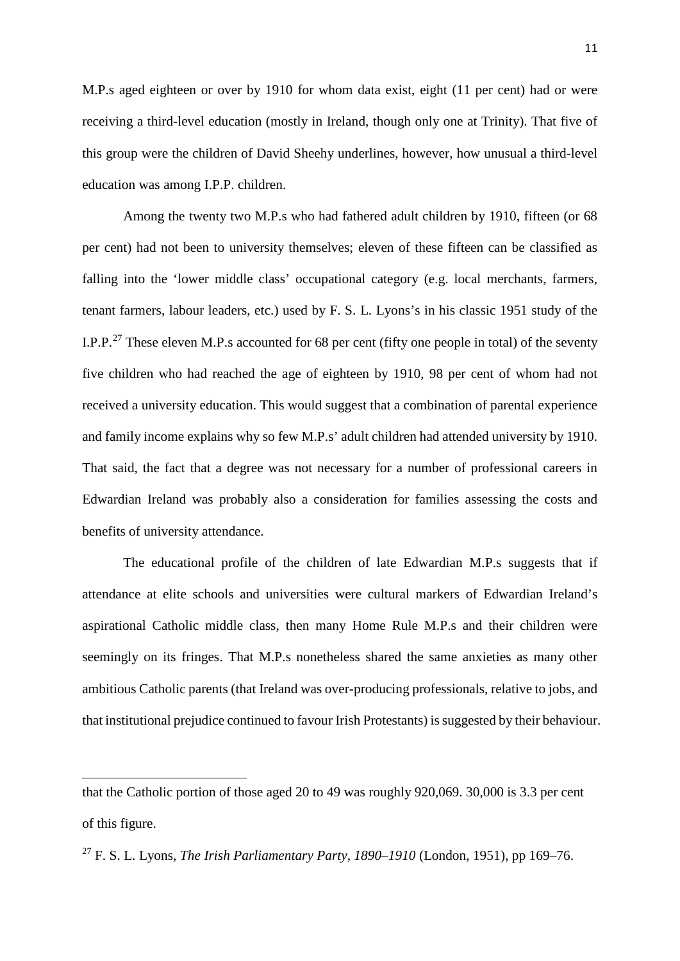M.P.s aged eighteen or over by 1910 for whom data exist, eight (11 per cent) had or were receiving a third-level education (mostly in Ireland, though only one at Trinity). That five of this group were the children of David Sheehy underlines, however, how unusual a third-level education was among I.P.P. children.

Among the twenty two M.P.s who had fathered adult children by 1910, fifteen (or 68 per cent) had not been to university themselves; eleven of these fifteen can be classified as falling into the 'lower middle class' occupational category (e.g. local merchants, farmers, tenant farmers, labour leaders, etc.) used by F. S. L. Lyons's in his classic 1951 study of the I.P.P.<sup>[27](#page-11-0)</sup> These eleven M.P.s accounted for 68 per cent (fifty one people in total) of the seventy five children who had reached the age of eighteen by 1910, 98 per cent of whom had not received a university education. This would suggest that a combination of parental experience and family income explains why so few M.P.s' adult children had attended university by 1910. That said, the fact that a degree was not necessary for a number of professional careers in Edwardian Ireland was probably also a consideration for families assessing the costs and benefits of university attendance.

The educational profile of the children of late Edwardian M.P.s suggests that if attendance at elite schools and universities were cultural markers of Edwardian Ireland's aspirational Catholic middle class, then many Home Rule M.P.s and their children were seemingly on its fringes. That M.P.s nonetheless shared the same anxieties as many other ambitious Catholic parents (that Ireland was over-producing professionals, relative to jobs, and that institutional prejudice continued to favour Irish Protestants) is suggested by their behaviour.

<u>.</u>

that the Catholic portion of those aged 20 to 49 was roughly 920,069. 30,000 is 3.3 per cent of this figure.

<span id="page-11-0"></span><sup>27</sup> F. S. L. Lyons, *The Irish Parliamentary Party, 1890–1910* (London, 1951), pp 169–76.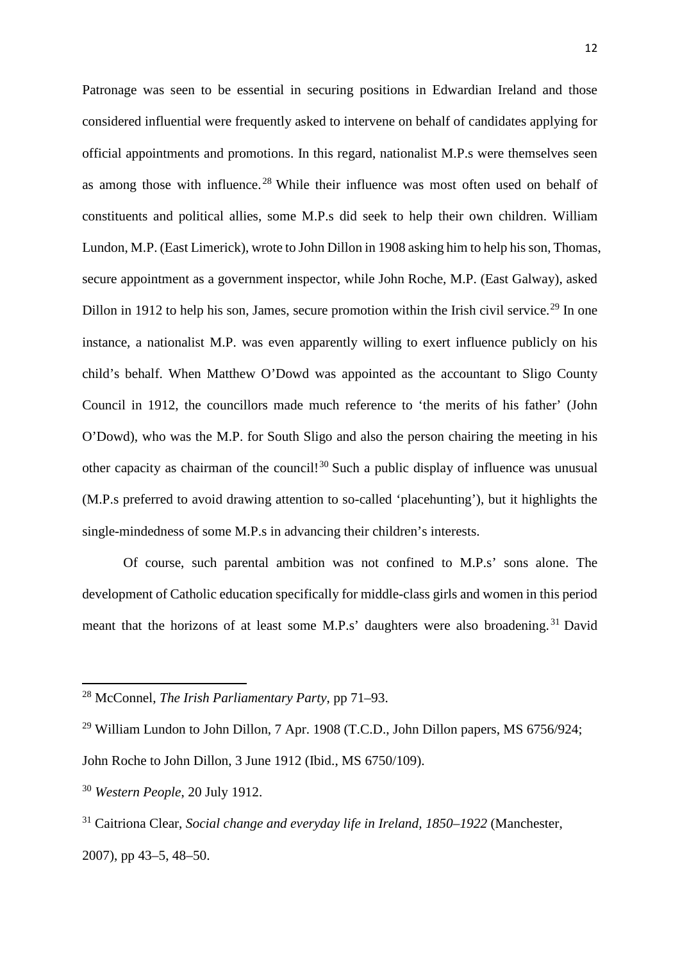Patronage was seen to be essential in securing positions in Edwardian Ireland and those considered influential were frequently asked to intervene on behalf of candidates applying for official appointments and promotions. In this regard, nationalist M.P.s were themselves seen as among those with influence.<sup>[28](#page-12-0)</sup> While their influence was most often used on behalf of constituents and political allies, some M.P.s did seek to help their own children. William Lundon, M.P. (East Limerick), wrote to John Dillon in 1908 asking him to help his son, Thomas, secure appointment as a government inspector, while John Roche, M.P. (East Galway), asked Dillon in 1912 to help his son, James, secure promotion within the Irish civil service.<sup>[29](#page-12-1)</sup> In one instance, a nationalist M.P. was even apparently willing to exert influence publicly on his child's behalf. When Matthew O'Dowd was appointed as the accountant to Sligo County Council in 1912, the councillors made much reference to 'the merits of his father' (John O'Dowd), who was the M.P. for South Sligo and also the person chairing the meeting in his other capacity as chairman of the council!<sup>[30](#page-12-2)</sup> Such a public display of influence was unusual (M.P.s preferred to avoid drawing attention to so-called 'placehunting'), but it highlights the single-mindedness of some M.P.s in advancing their children's interests.

Of course, such parental ambition was not confined to M.P.s' sons alone. The development of Catholic education specifically for middle-class girls and women in this period meant that the horizons of at least some M.P.s' daughters were also broadening.<sup>[31](#page-12-3)</sup> David

<span id="page-12-0"></span><sup>28</sup> McConnel, *The Irish Parliamentary Party*, pp 71–93.

<span id="page-12-1"></span><sup>&</sup>lt;sup>29</sup> William Lundon to John Dillon, 7 Apr. 1908 (T.C.D., John Dillon papers, MS  $6756/924$ ; John Roche to John Dillon, 3 June 1912 (Ibid., MS 6750/109).

<span id="page-12-2"></span><sup>30</sup> *Western People*, 20 July 1912.

<span id="page-12-3"></span><sup>31</sup> Caitriona Clear, *Social change and everyday life in Ireland, 1850–1922* (Manchester, 2007), pp 43–5, 48–50.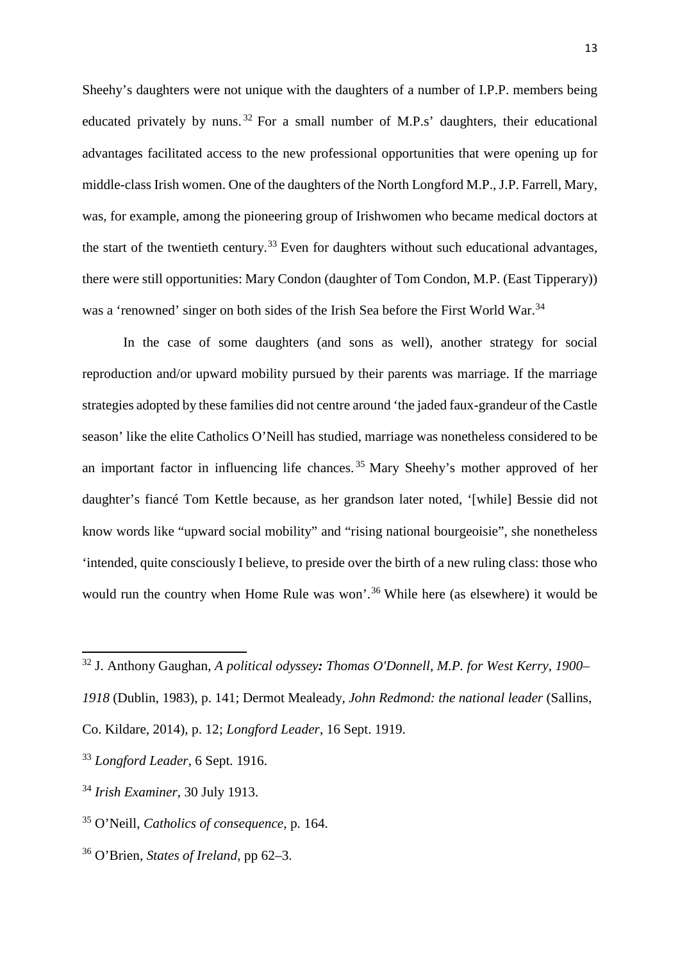Sheehy's daughters were not unique with the daughters of a number of I.P.P. members being educated privately by nuns. [32](#page-13-0) For a small number of M.P.s' daughters, their educational advantages facilitated access to the new professional opportunities that were opening up for middle-class Irish women. One of the daughters of the North Longford M.P., J.P. Farrell, Mary, was, for example, among the pioneering group of Irishwomen who became medical doctors at the start of the twentieth century.<sup>[33](#page-13-1)</sup> Even for daughters without such educational advantages, there were still opportunities: Mary Condon (daughter of Tom Condon, M.P. (East Tipperary)) was a 'renowned' singer on both sides of the Irish Sea before the First World War.<sup>[34](#page-13-2)</sup>

In the case of some daughters (and sons as well), another strategy for social reproduction and/or upward mobility pursued by their parents was marriage. If the marriage strategies adopted by these families did not centre around 'the jaded faux-grandeur of the Castle season' like the elite Catholics O'Neill has studied, marriage was nonetheless considered to be an important factor in influencing life chances. [35](#page-13-3) Mary Sheehy's mother approved of her daughter's fiancé Tom Kettle because, as her grandson later noted, '[while] Bessie did not know words like "upward social mobility" and "rising national bourgeoisie", she nonetheless 'intended, quite consciously I believe, to preside over the birth of a new ruling class: those who would run the country when Home Rule was won'.<sup>[36](#page-13-4)</sup> While here (as elsewhere) it would be

**.** 

<span id="page-13-4"></span><sup>36</sup> O'Brien, *States of Ireland*, pp 62–3.

<span id="page-13-0"></span><sup>32</sup> J. Anthony Gaughan, *A political odyssey: Thomas O'Donnell, M.P. for West Kerry, 1900–*

*<sup>1918</sup>* (Dublin, 1983), p. 141; Dermot Mealeady, *John Redmond: the national leader* (Sallins,

Co. Kildare, 2014), p. 12; *Longford Leader*, 16 Sept. 1919.

<span id="page-13-1"></span><sup>33</sup> *Longford Leader*, 6 Sept. 1916.

<span id="page-13-2"></span><sup>34</sup> *Irish Examiner*, 30 July 1913.

<span id="page-13-3"></span><sup>35</sup> O'Neill, *Catholics of consequence*, p. 164.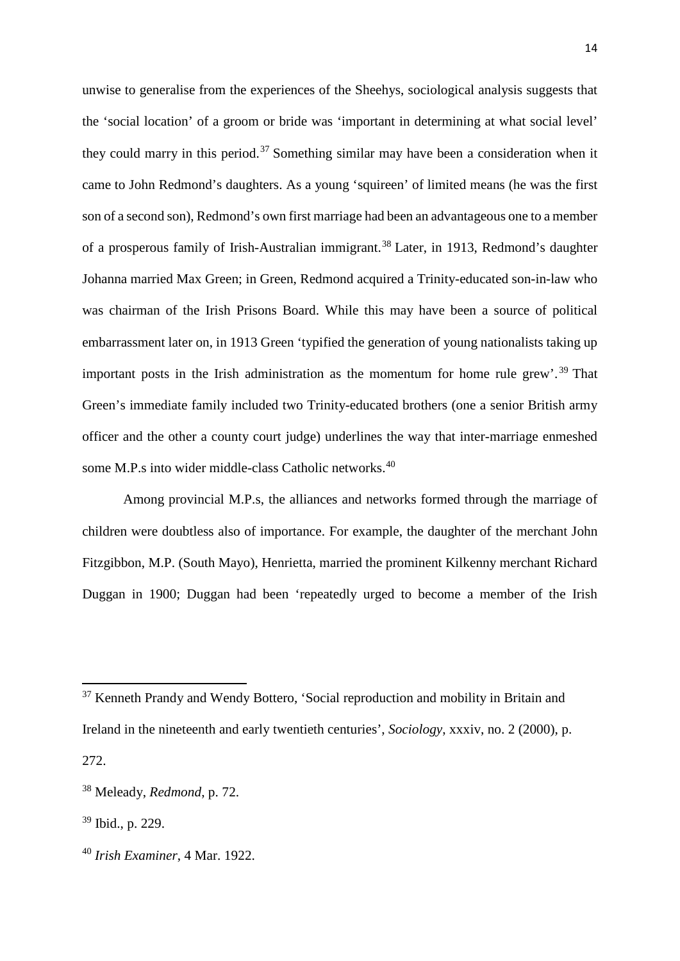unwise to generalise from the experiences of the Sheehys, sociological analysis suggests that the 'social location' of a groom or bride was 'important in determining at what social level' they could marry in this period.<sup>[37](#page-14-0)</sup> Something similar may have been a consideration when it came to John Redmond's daughters. As a young 'squireen' of limited means (he was the first son of a second son), Redmond's own first marriage had been an advantageous one to a member of a prosperous family of Irish-Australian immigrant.<sup>[38](#page-14-1)</sup> Later, in 1913, Redmond's daughter Johanna married Max Green; in Green, Redmond acquired a Trinity-educated son-in-law who was chairman of the Irish Prisons Board. While this may have been a source of political embarrassment later on, in 1913 Green 'typified the generation of young nationalists taking up important posts in the Irish administration as the momentum for home rule grew'. [39](#page-14-2) That Green's immediate family included two Trinity-educated brothers (one a senior British army officer and the other a county court judge) underlines the way that inter-marriage enmeshed some M.P.s into wider middle-class Catholic networks.<sup>[40](#page-14-3)</sup>

Among provincial M.P.s, the alliances and networks formed through the marriage of children were doubtless also of importance. For example, the daughter of the merchant John Fitzgibbon, M.P. (South Mayo), Henrietta, married the prominent Kilkenny merchant Richard Duggan in 1900; Duggan had been 'repeatedly urged to become a member of the Irish

<span id="page-14-0"></span><sup>&</sup>lt;sup>37</sup> Kenneth Prandy and Wendy Bottero, 'Social reproduction and mobility in Britain and Ireland in the nineteenth and early twentieth centuries', *Sociology*, xxxiv, no. 2 (2000), p. 272.

<span id="page-14-1"></span><sup>38</sup> Meleady, *Redmond*, p. 72.

<span id="page-14-2"></span><sup>39</sup> Ibid., p. 229.

<span id="page-14-3"></span><sup>40</sup> *Irish Examiner*, 4 Mar. 1922.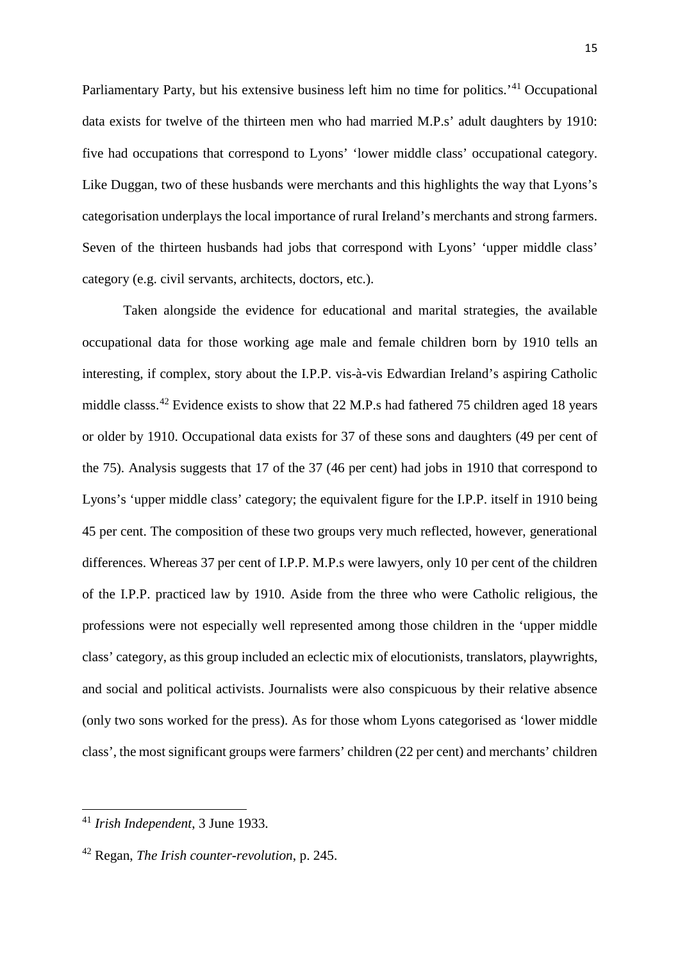Parliamentary Party, but his extensive business left him no time for politics.<sup>'[41](#page-15-0)</sup> Occupational data exists for twelve of the thirteen men who had married M.P.s' adult daughters by 1910: five had occupations that correspond to Lyons' 'lower middle class' occupational category. Like Duggan, two of these husbands were merchants and this highlights the way that Lyons's categorisation underplays the local importance of rural Ireland's merchants and strong farmers. Seven of the thirteen husbands had jobs that correspond with Lyons' 'upper middle class' category (e.g. civil servants, architects, doctors, etc.).

Taken alongside the evidence for educational and marital strategies, the available occupational data for those working age male and female children born by 1910 tells an interesting, if complex, story about the I.P.P. vis-à-vis Edwardian Ireland's aspiring Catholic middle classs.<sup>[42](#page-15-1)</sup> Evidence exists to show that 22 M.P.s had fathered 75 children aged 18 years or older by 1910. Occupational data exists for 37 of these sons and daughters (49 per cent of the 75). Analysis suggests that 17 of the 37 (46 per cent) had jobs in 1910 that correspond to Lyons's 'upper middle class' category; the equivalent figure for the I.P.P. itself in 1910 being 45 per cent. The composition of these two groups very much reflected, however, generational differences. Whereas 37 per cent of I.P.P. M.P.s were lawyers, only 10 per cent of the children of the I.P.P. practiced law by 1910. Aside from the three who were Catholic religious, the professions were not especially well represented among those children in the 'upper middle class' category, as this group included an eclectic mix of elocutionists, translators, playwrights, and social and political activists. Journalists were also conspicuous by their relative absence (only two sons worked for the press). As for those whom Lyons categorised as 'lower middle class', the most significant groups were farmers' children (22 per cent) and merchants' children

<span id="page-15-0"></span><sup>41</sup> *Irish Independent*, 3 June 1933.

<span id="page-15-1"></span><sup>42</sup> Regan, *The Irish counter-revolution*, p. 245.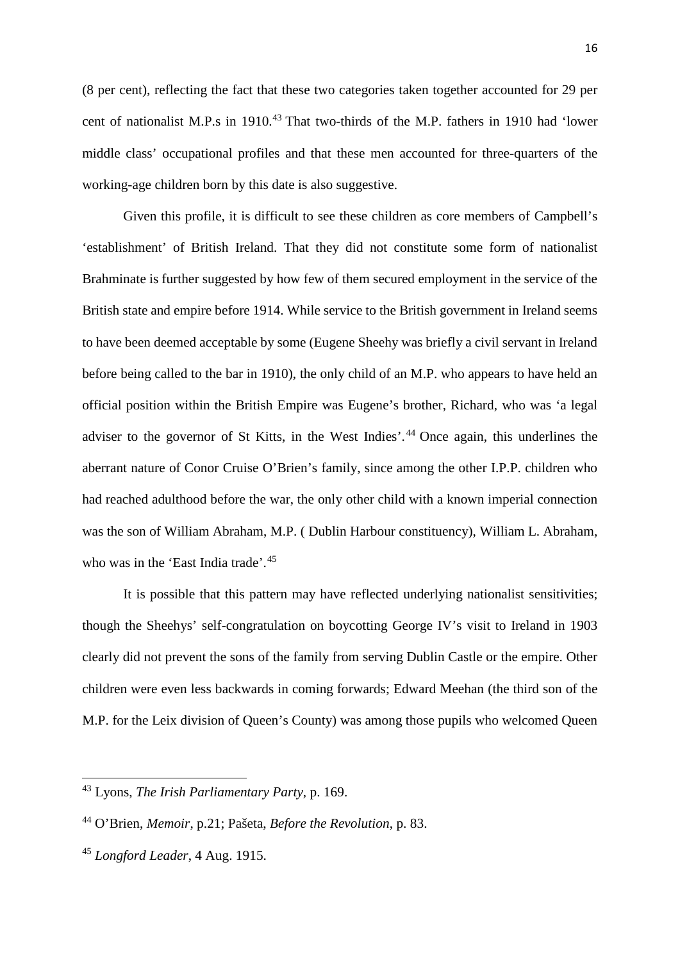(8 per cent), reflecting the fact that these two categories taken together accounted for 29 per cent of nationalist M.P.s in 1910. [43](#page-16-0) That two-thirds of the M.P. fathers in 1910 had 'lower middle class' occupational profiles and that these men accounted for three-quarters of the working-age children born by this date is also suggestive.

Given this profile, it is difficult to see these children as core members of Campbell's 'establishment' of British Ireland. That they did not constitute some form of nationalist Brahminate is further suggested by how few of them secured employment in the service of the British state and empire before 1914. While service to the British government in Ireland seems to have been deemed acceptable by some (Eugene Sheehy was briefly a civil servant in Ireland before being called to the bar in 1910), the only child of an M.P. who appears to have held an official position within the British Empire was Eugene's brother, Richard, who was 'a legal adviser to the governor of St Kitts, in the West Indies'. [44](#page-16-1) Once again, this underlines the aberrant nature of Conor Cruise O'Brien's family, since among the other I.P.P. children who had reached adulthood before the war, the only other child with a known imperial connection was the son of William Abraham, M.P. ( Dublin Harbour constituency), William L. Abraham, who was in the 'East India trade'.<sup>[45](#page-16-2)</sup>

It is possible that this pattern may have reflected underlying nationalist sensitivities; though the Sheehys' self-congratulation on boycotting George IV's visit to Ireland in 1903 clearly did not prevent the sons of the family from serving Dublin Castle or the empire. Other children were even less backwards in coming forwards; Edward Meehan (the third son of the M.P. for the Leix division of Queen's County) was among those pupils who welcomed Queen

<u>.</u>

<span id="page-16-0"></span><sup>43</sup> Lyons, *The Irish Parliamentary Party*, p. 169.

<span id="page-16-1"></span><sup>44</sup> O'Brien, *Memoir*, p.21; Pašeta, *Before the Revolution*, p. 83.

<span id="page-16-2"></span><sup>45</sup> *Longford Leader*, 4 Aug. 1915.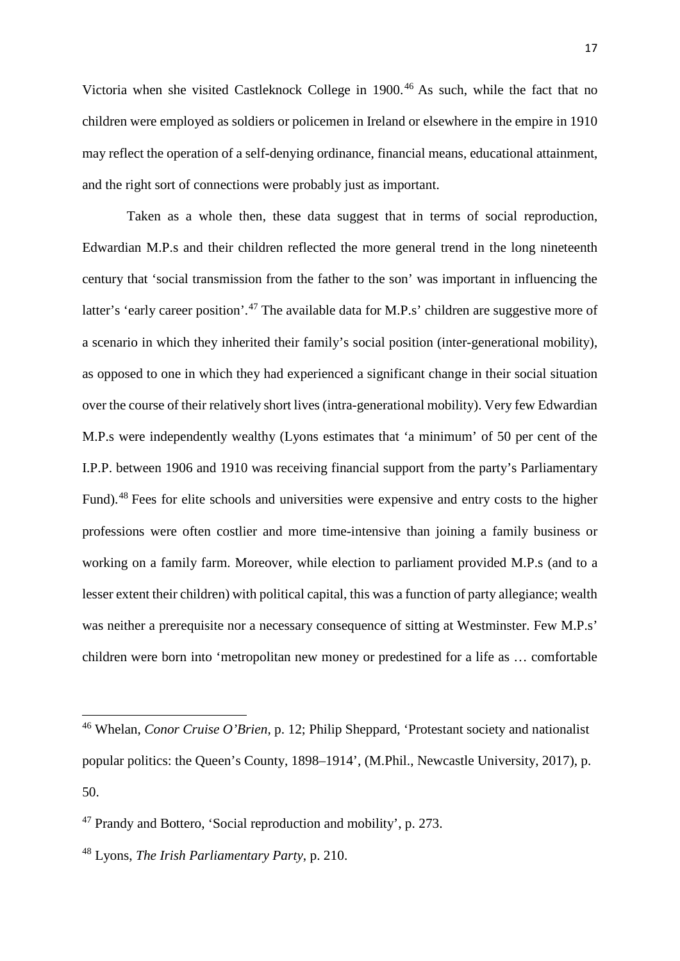Victoria when she visited Castleknock College in 1900.[46](#page-17-0) As such, while the fact that no children were employed as soldiers or policemen in Ireland or elsewhere in the empire in 1910 may reflect the operation of a self-denying ordinance, financial means, educational attainment, and the right sort of connections were probably just as important.

Taken as a whole then, these data suggest that in terms of social reproduction, Edwardian M.P.s and their children reflected the more general trend in the long nineteenth century that 'social transmission from the father to the son' was important in influencing the latter's 'early career position'.<sup>[47](#page-17-1)</sup> The available data for M.P.s' children are suggestive more of a scenario in which they inherited their family's social position (inter-generational mobility), as opposed to one in which they had experienced a significant change in their social situation over the course of their relatively short lives (intra-generational mobility). Very few Edwardian M.P.s were independently wealthy (Lyons estimates that 'a minimum' of 50 per cent of the I.P.P. between 1906 and 1910 was receiving financial support from the party's Parliamentary Fund).<sup>[48](#page-17-2)</sup> Fees for elite schools and universities were expensive and entry costs to the higher professions were often costlier and more time-intensive than joining a family business or working on a family farm. Moreover, while election to parliament provided M.P.s (and to a lesser extent their children) with political capital, this was a function of party allegiance; wealth was neither a prerequisite nor a necessary consequence of sitting at Westminster. Few M.P.s' children were born into 'metropolitan new money or predestined for a life as … comfortable

<span id="page-17-0"></span><sup>46</sup> Whelan, *Conor Cruise O'Brien*, p. 12; Philip Sheppard, 'Protestant society and nationalist popular politics: the Queen's County, 1898–1914', (M.Phil., Newcastle University, 2017), p. 50.

<span id="page-17-1"></span><sup>47</sup> Prandy and Bottero, 'Social reproduction and mobility', p. 273.

<span id="page-17-2"></span><sup>48</sup> Lyons, *The Irish Parliamentary Party*, p. 210.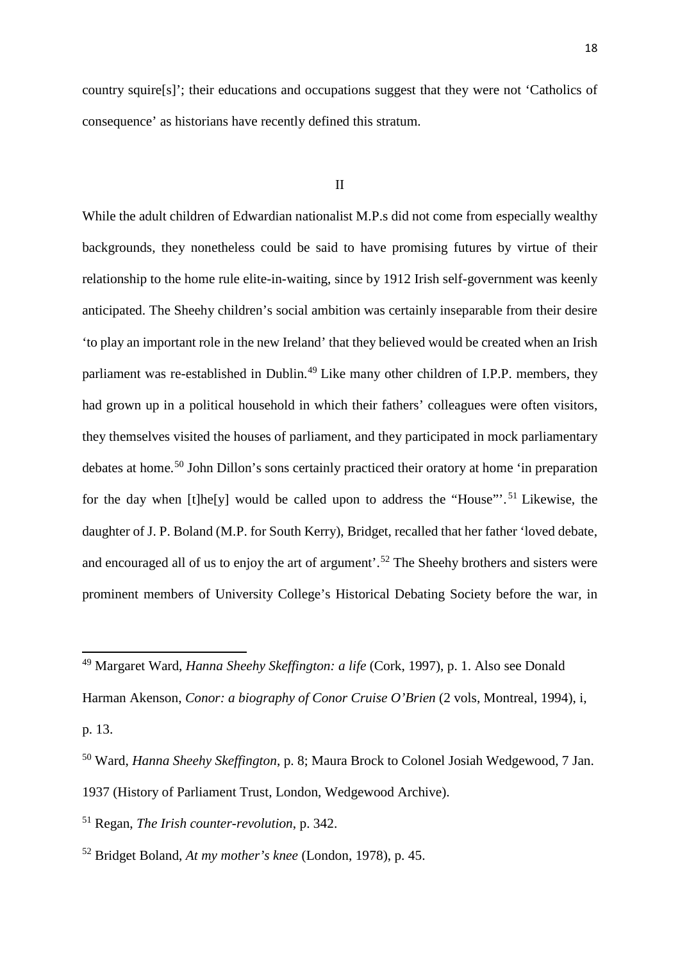country squire[s]'; their educations and occupations suggest that they were not 'Catholics of consequence' as historians have recently defined this stratum.

### II

While the adult children of Edwardian nationalist M.P.s did not come from especially wealthy backgrounds, they nonetheless could be said to have promising futures by virtue of their relationship to the home rule elite-in-waiting, since by 1912 Irish self-government was keenly anticipated. The Sheehy children's social ambition was certainly inseparable from their desire 'to play an important role in the new Ireland' that they believed would be created when an Irish parliament was re-established in Dublin.<sup>[49](#page-18-0)</sup> Like many other children of I.P.P. members, they had grown up in a political household in which their fathers' colleagues were often visitors, they themselves visited the houses of parliament, and they participated in mock parliamentary debates at home.[50](#page-18-1) John Dillon's sons certainly practiced their oratory at home 'in preparation for the day when [t]he[y] would be called upon to address the "House"<sup>'</sup>.<sup>[51](#page-18-2)</sup> Likewise, the daughter of J. P. Boland (M.P. for South Kerry), Bridget, recalled that her father 'loved debate, and encouraged all of us to enjoy the art of argument'.<sup>[52](#page-18-3)</sup> The Sheehy brothers and sisters were prominent members of University College's Historical Debating Society before the war, in

<span id="page-18-0"></span><sup>49</sup> Margaret Ward, *Hanna Sheehy Skeffington: a life* (Cork, 1997), p. 1. Also see Donald

Harman Akenson, *Conor: a biography of Conor Cruise O'Brien* (2 vols, Montreal, 1994), i,

p. 13.

<span id="page-18-1"></span><sup>50</sup> Ward, *Hanna Sheehy Skeffington*, p. 8; Maura Brock to Colonel Josiah Wedgewood, 7 Jan. 1937 (History of Parliament Trust, London, Wedgewood Archive).

<span id="page-18-2"></span><sup>51</sup> Regan, *The Irish counter-revolution*, p. 342.

<span id="page-18-3"></span><sup>52</sup> Bridget Boland, *At my mother's knee* (London, 1978), p. 45.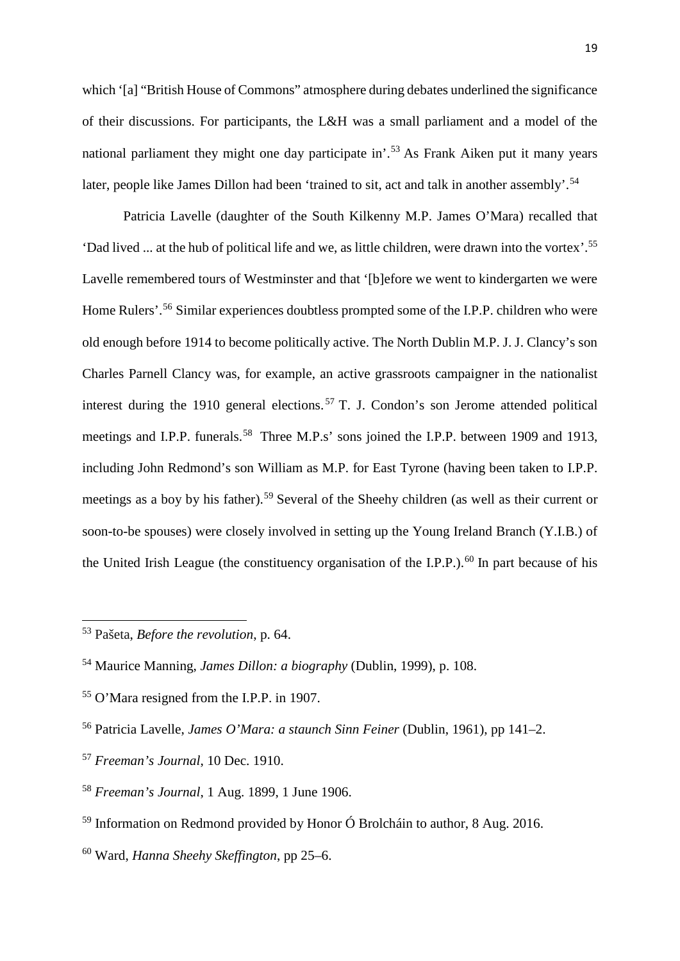which '[a] "British House of Commons" atmosphere during debates underlined the significance of their discussions. For participants, the L&H was a small parliament and a model of the national parliament they might one day participate in'.[53](#page-19-0) As Frank Aiken put it many years later, people like James Dillon had been 'trained to sit, act and talk in another assembly'.<sup>[54](#page-19-1)</sup>

Patricia Lavelle (daughter of the South Kilkenny M.P. James O'Mara) recalled that 'Dad lived ... at the hub of political life and we, as little children, were drawn into the vortex'.[55](#page-19-2) Lavelle remembered tours of Westminster and that '[b]efore we went to kindergarten we were Home Rulers'.<sup>[56](#page-19-3)</sup> Similar experiences doubtless prompted some of the I.P.P. children who were old enough before 1914 to become politically active. The North Dublin M.P. J. J. Clancy's son Charles Parnell Clancy was, for example, an active grassroots campaigner in the nationalist interest during the 1910 general elections. [57](#page-19-4) T. J. Condon's son Jerome attended political meetings and I.P.P. funerals.<sup>[58](#page-19-5)</sup> Three M.P.s' sons joined the I.P.P. between 1909 and 1913, including John Redmond's son William as M.P. for East Tyrone (having been taken to I.P.P. meetings as a boy by his father).<sup>[59](#page-19-6)</sup> Several of the Sheehy children (as well as their current or soon-to-be spouses) were closely involved in setting up the Young Ireland Branch (Y.I.B.) of the United Irish League (the constituency organisation of the I.P.P.).<sup>[60](#page-19-7)</sup> In part because of his

<span id="page-19-0"></span><sup>53</sup> Pašeta, *Before the revolution*, p. 64.

<span id="page-19-1"></span><sup>54</sup> Maurice Manning, *James Dillon: a biography* (Dublin, 1999), p. 108.

<span id="page-19-2"></span><sup>55</sup> O'Mara resigned from the I.P.P. in 1907.

<span id="page-19-3"></span><sup>56</sup> Patricia Lavelle, *James O'Mara: a staunch Sinn Feiner* (Dublin, 1961), pp 141–2.

<span id="page-19-4"></span><sup>57</sup> *Freeman's Journal*, 10 Dec. 1910.

<span id="page-19-5"></span><sup>58</sup> *Freeman's Journal*, 1 Aug. 1899, 1 June 1906.

<span id="page-19-6"></span><sup>59</sup> Information on Redmond provided by Honor Ó Brolcháin to author, 8 Aug. 2016.

<span id="page-19-7"></span><sup>60</sup> Ward, *Hanna Sheehy Skeffington*, pp 25–6.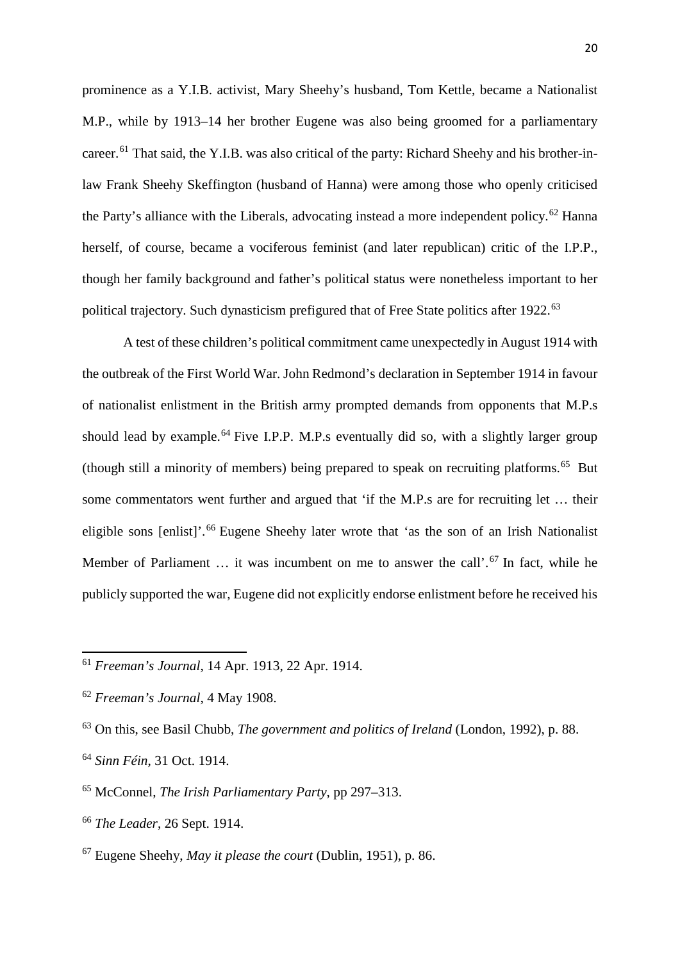prominence as a Y.I.B. activist, Mary Sheehy's husband, Tom Kettle, became a Nationalist M.P., while by 1913–14 her brother Eugene was also being groomed for a parliamentary career.<sup>[61](#page-20-0)</sup> That said, the Y.I.B. was also critical of the party: Richard Sheehy and his brother-inlaw Frank Sheehy Skeffington (husband of Hanna) were among those who openly criticised the Party's alliance with the Liberals, advocating instead a more independent policy.<sup>[62](#page-20-1)</sup> Hanna herself, of course, became a vociferous feminist (and later republican) critic of the I.P.P., though her family background and father's political status were nonetheless important to her political trajectory. Such dynasticism prefigured that of Free State politics after 1922.<sup>[63](#page-20-2)</sup>

A test of these children's political commitment came unexpectedly in August 1914 with the outbreak of the First World War. John Redmond's declaration in September 1914 in favour of nationalist enlistment in the British army prompted demands from opponents that M.P.s should lead by example.<sup>[64](#page-20-3)</sup> Five I.P.P. M.P.s eventually did so, with a slightly larger group (though still a minority of members) being prepared to speak on recruiting platforms.[65](#page-20-4) But some commentators went further and argued that 'if the M.P.s are for recruiting let … their eligible sons [enlist]'.<sup>[66](#page-20-5)</sup> Eugene Sheehy later wrote that 'as the son of an Irish Nationalist Member of Parliament ... it was incumbent on me to answer the call'.<sup>[67](#page-20-6)</sup> In fact, while he publicly supported the war, Eugene did not explicitly endorse enlistment before he received his

<span id="page-20-0"></span><sup>61</sup> *Freeman's Journal*, 14 Apr. 1913, 22 Apr. 1914.

<span id="page-20-1"></span><sup>62</sup> *Freeman's Journal*, 4 May 1908.

<span id="page-20-2"></span><sup>63</sup> On this, see Basil Chubb, *The government and politics of Ireland* (London, 1992), p. 88.

<span id="page-20-3"></span><sup>64</sup> *Sinn Féin*, 31 Oct. 1914.

<span id="page-20-4"></span><sup>65</sup> McConnel, *The Irish Parliamentary Party*, pp 297–313.

<span id="page-20-5"></span><sup>66</sup> *The Leader*, 26 Sept. 1914.

<span id="page-20-6"></span><sup>67</sup> Eugene Sheehy, *May it please the court* (Dublin, 1951), p. 86.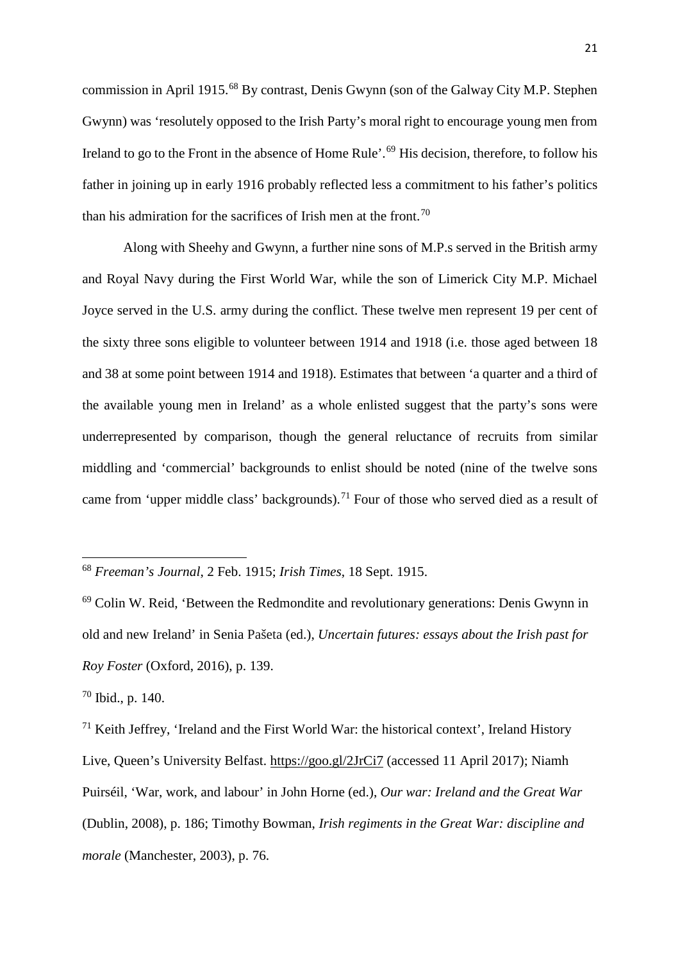commission in April 1915.[68](#page-21-0) By contrast, Denis Gwynn (son of the Galway City M.P. Stephen Gwynn) was 'resolutely opposed to the Irish Party's moral right to encourage young men from Ireland to go to the Front in the absence of Home Rule'.<sup>[69](#page-21-1)</sup> His decision, therefore, to follow his father in joining up in early 1916 probably reflected less a commitment to his father's politics than his admiration for the sacrifices of Irish men at the front.<sup>[70](#page-21-2)</sup>

Along with Sheehy and Gwynn, a further nine sons of M.P.s served in the British army and Royal Navy during the First World War, while the son of Limerick City M.P. Michael Joyce served in the U.S. army during the conflict. These twelve men represent 19 per cent of the sixty three sons eligible to volunteer between 1914 and 1918 (i.e. those aged between 18 and 38 at some point between 1914 and 1918). Estimates that between 'a quarter and a third of the available young men in Ireland' as a whole enlisted suggest that the party's sons were underrepresented by comparison, though the general reluctance of recruits from similar middling and 'commercial' backgrounds to enlist should be noted (nine of the twelve sons came from 'upper middle class' backgrounds).<sup>[71](#page-21-3)</sup> Four of those who served died as a result of

<span id="page-21-0"></span><sup>68</sup> *Freeman's Journal*, 2 Feb. 1915; *Irish Times*, 18 Sept. 1915.

<span id="page-21-1"></span><sup>69</sup> Colin W. Reid, 'Between the Redmondite and revolutionary generations: Denis Gwynn in old and new Ireland' in Senia Pašeta (ed.), *Uncertain futures: essays about the Irish past for Roy Foster* (Oxford, 2016), p. 139.

<span id="page-21-2"></span><sup>70</sup> Ibid., p. 140.

<span id="page-21-3"></span> $71$  Keith Jeffrey, 'Ireland and the First World War: the historical context', Ireland History Live, Queen's University Belfast.<https://goo.gl/2JrCi7> (accessed 11 April 2017); Niamh Puirséil, 'War, work, and labour' in John Horne (ed.), *Our war: Ireland and the Great War* (Dublin, 2008), p. 186; Timothy Bowman, *Irish regiments in the Great War: discipline and morale* (Manchester, 2003), p. 76.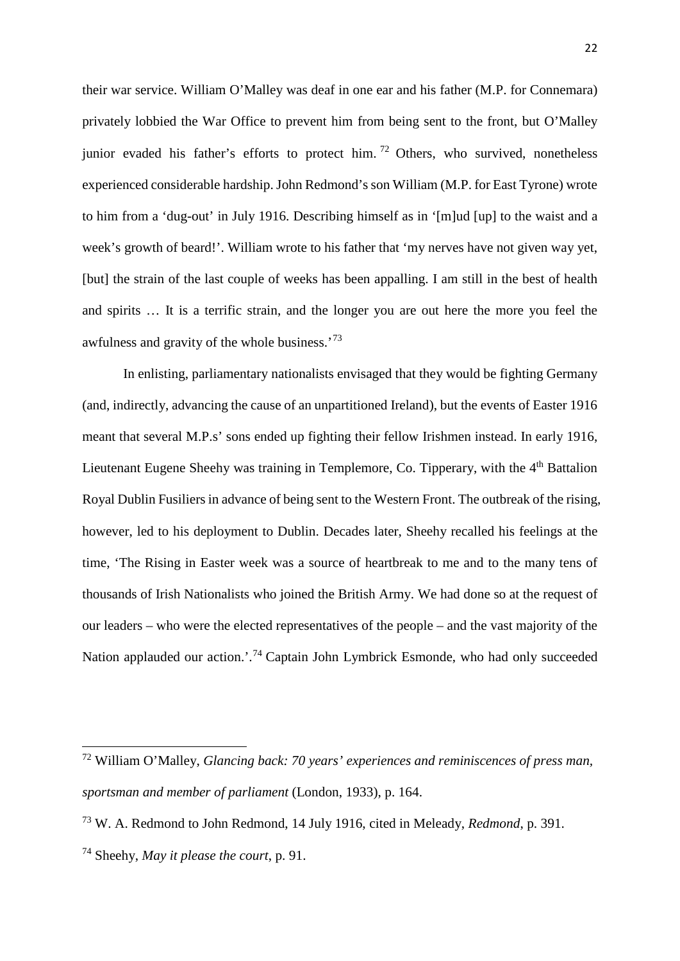their war service. William O'Malley was deaf in one ear and his father (M.P. for Connemara) privately lobbied the War Office to prevent him from being sent to the front, but O'Malley junior evaded his father's efforts to protect him.<sup>[72](#page-22-0)</sup> Others, who survived, nonetheless experienced considerable hardship. John Redmond's son William (M.P. for East Tyrone) wrote to him from a 'dug-out' in July 1916. Describing himself as in '[m]ud [up] to the waist and a week's growth of beard!'. William wrote to his father that 'my nerves have not given way yet, [but] the strain of the last couple of weeks has been appalling. I am still in the best of health and spirits … It is a terrific strain, and the longer you are out here the more you feel the awfulness and gravity of the whole business.'[73](#page-22-1)

In enlisting, parliamentary nationalists envisaged that they would be fighting Germany (and, indirectly, advancing the cause of an unpartitioned Ireland), but the events of Easter 1916 meant that several M.P.s' sons ended up fighting their fellow Irishmen instead. In early 1916, Lieutenant Eugene Sheehy was training in Templemore, Co. Tipperary, with the 4<sup>th</sup> Battalion Royal Dublin Fusiliers in advance of being sent to the Western Front. The outbreak of the rising, however, led to his deployment to Dublin. Decades later, Sheehy recalled his feelings at the time, 'The Rising in Easter week was a source of heartbreak to me and to the many tens of thousands of Irish Nationalists who joined the British Army. We had done so at the request of our leaders – who were the elected representatives of the people – and the vast majority of the Nation applauded our action.<sup>', [74](#page-22-2)</sup> Captain John Lymbrick Esmonde, who had only succeeded

<span id="page-22-0"></span><sup>72</sup> William O'Malley, *Glancing back: 70 years' experiences and reminiscences of press man, sportsman and member of parliament* (London, 1933), p. 164.

<span id="page-22-1"></span><sup>73</sup> W. A. Redmond to John Redmond, 14 July 1916, cited in Meleady, *Redmond*, p. 391.

<span id="page-22-2"></span><sup>74</sup> Sheehy, *May it please the court*, p. 91.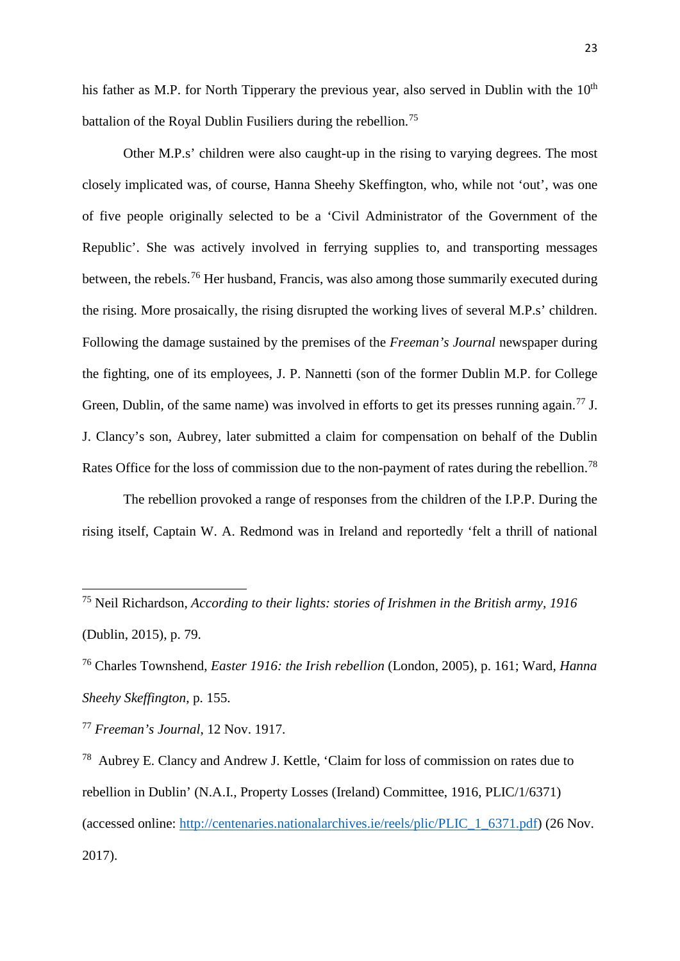his father as M.P. for North Tipperary the previous year, also served in Dublin with the  $10<sup>th</sup>$ battalion of the Royal Dublin Fusiliers during the rebellion.<sup>[75](#page-23-0)</sup>

Other M.P.s' children were also caught-up in the rising to varying degrees. The most closely implicated was, of course, Hanna Sheehy Skeffington, who, while not 'out', was one of five people originally selected to be a 'Civil Administrator of the Government of the Republic'. She was actively involved in ferrying supplies to, and transporting messages between, the rebels.[76](#page-23-1) Her husband, Francis, was also among those summarily executed during the rising. More prosaically, the rising disrupted the working lives of several M.P.s' children. Following the damage sustained by the premises of the *Freeman's Journal* newspaper during the fighting, one of its employees, J. P. Nannetti (son of the former Dublin M.P. for College Green, Dublin, of the same name) was involved in efforts to get its presses running again.<sup>[77](#page-23-2)</sup> J. J. Clancy's son, Aubrey, later submitted a claim for compensation on behalf of the Dublin Rates Office for the loss of commission due to the non-payment of rates during the rebellion.<sup>[78](#page-23-3)</sup>

The rebellion provoked a range of responses from the children of the I.P.P. During the rising itself, Captain W. A. Redmond was in Ireland and reportedly 'felt a thrill of national

<span id="page-23-0"></span><sup>75</sup> Neil Richardson, *According to their lights: stories of Irishmen in the British army, 1916* (Dublin, 2015), p. 79.

<span id="page-23-1"></span><sup>76</sup> Charles Townshend, *Easter 1916: the Irish rebellion* (London, 2005), p. 161; Ward, *Hanna Sheehy Skeffington*, p. 155.

<span id="page-23-2"></span><sup>77</sup> *Freeman's Journal*, 12 Nov. 1917.

<span id="page-23-3"></span><sup>78</sup> Aubrey E. Clancy and Andrew J. Kettle, 'Claim for loss of commission on rates due to rebellion in Dublin' (N.A.I., Property Losses (Ireland) Committee, 1916, PLIC/1/6371) (accessed online: [http://centenaries.nationalarchives.ie/reels/plic/PLIC\\_1\\_6371.pdf\)](http://centenaries.nationalarchives.ie/reels/plic/PLIC_1_6371.pdf) (26 Nov. 2017).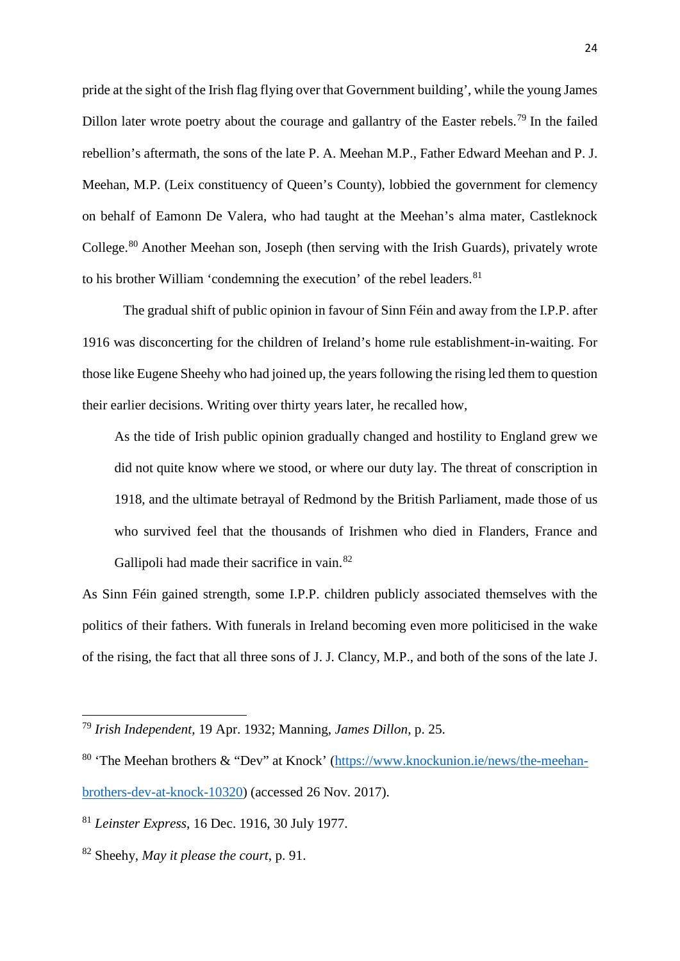pride at the sight of the Irish flag flying over that Government building', while the young James Dillon later wrote poetry about the courage and gallantry of the Easter rebels.<sup>[79](#page-24-0)</sup> In the failed rebellion's aftermath, the sons of the late P. A. Meehan M.P., Father Edward Meehan and P. J. Meehan, M.P. (Leix constituency of Queen's County), lobbied the government for clemency on behalf of Eamonn De Valera, who had taught at the Meehan's alma mater, Castleknock College.<sup>[80](#page-24-1)</sup> Another Meehan son, Joseph (then serving with the Irish Guards), privately wrote to his brother William 'condemning the execution' of the rebel leaders. $81$ 

The gradual shift of public opinion in favour of Sinn Féin and away from the I.P.P. after 1916 was disconcerting for the children of Ireland's home rule establishment-in-waiting. For those like Eugene Sheehy who had joined up, the years following the rising led them to question their earlier decisions. Writing over thirty years later, he recalled how,

As the tide of Irish public opinion gradually changed and hostility to England grew we did not quite know where we stood, or where our duty lay. The threat of conscription in 1918, and the ultimate betrayal of Redmond by the British Parliament, made those of us who survived feel that the thousands of Irishmen who died in Flanders, France and Gallipoli had made their sacrifice in vain.<sup>[82](#page-24-3)</sup>

As Sinn Féin gained strength, some I.P.P. children publicly associated themselves with the politics of their fathers. With funerals in Ireland becoming even more politicised in the wake of the rising, the fact that all three sons of J. J. Clancy, M.P., and both of the sons of the late J.

<span id="page-24-0"></span><sup>79</sup> *Irish Independent*, 19 Apr. 1932; Manning, *James Dillon*, p. 25.

<span id="page-24-1"></span><sup>&</sup>lt;sup>80</sup> 'The Meehan brothers & "Dev" at Knock' [\(https://www.knockunion.ie/news/the-meehan](https://www.knockunion.ie/news/the-meehan-brothers-dev-at-knock-10320)[brothers-dev-at-knock-10320\)](https://www.knockunion.ie/news/the-meehan-brothers-dev-at-knock-10320) (accessed 26 Nov. 2017).

<span id="page-24-2"></span><sup>81</sup> *Leinster Express*, 16 Dec. 1916, 30 July 1977.

<span id="page-24-3"></span><sup>82</sup> Sheehy, *May it please the court*, p. 91.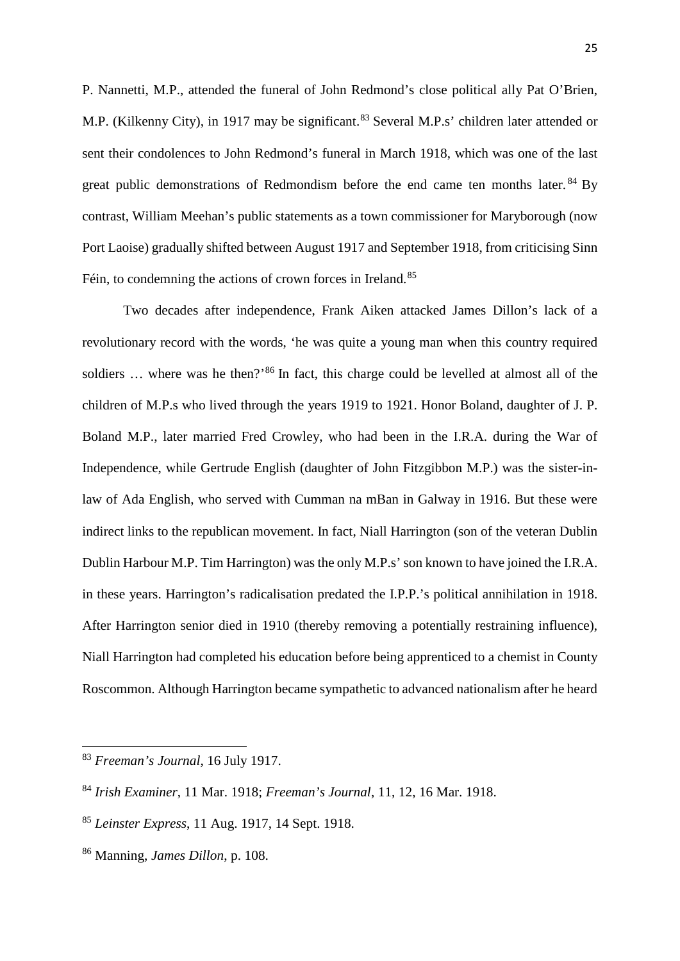P. Nannetti, M.P., attended the funeral of John Redmond's close political ally Pat O'Brien, M.P. (Kilkenny City), in 1917 may be significant.<sup>[83](#page-25-0)</sup> Several M.P.s' children later attended or sent their condolences to John Redmond's funeral in March 1918, which was one of the last great public demonstrations of Redmondism before the end came ten months later.<sup>[84](#page-25-1)</sup> By contrast, William Meehan's public statements as a town commissioner for Maryborough (now Port Laoise) gradually shifted between August 1917 and September 1918, from criticising Sinn Féin, to condemning the actions of crown forces in Ireland.<sup>[85](#page-25-2)</sup>

Two decades after independence, Frank Aiken attacked James Dillon's lack of a revolutionary record with the words, 'he was quite a young man when this country required soldiers ... where was he then?<sup>[86](#page-25-3)</sup> In fact, this charge could be levelled at almost all of the children of M.P.s who lived through the years 1919 to 1921. Honor Boland, daughter of J. P. Boland M.P., later married Fred Crowley, who had been in the I.R.A. during the War of Independence, while Gertrude English (daughter of John Fitzgibbon M.P.) was the sister-inlaw of Ada English, who served with Cumman na mBan in Galway in 1916. But these were indirect links to the republican movement. In fact, Niall Harrington (son of the veteran Dublin Dublin Harbour M.P. Tim Harrington) was the only M.P.s' son known to have joined the I.R.A. in these years. Harrington's radicalisation predated the I.P.P.'s political annihilation in 1918. After Harrington senior died in 1910 (thereby removing a potentially restraining influence), Niall Harrington had completed his education before being apprenticed to a chemist in County Roscommon. Although Harrington became sympathetic to advanced nationalism after he heard

<span id="page-25-0"></span><sup>83</sup> *Freeman's Journal*, 16 July 1917.

<span id="page-25-1"></span><sup>84</sup> *Irish Examiner*, 11 Mar. 1918; *Freeman's Journal*, 11, 12, 16 Mar. 1918.

<span id="page-25-2"></span><sup>85</sup> *Leinster Express*, 11 Aug. 1917, 14 Sept. 1918.

<span id="page-25-3"></span><sup>86</sup> Manning, *James Dillon*, p. 108.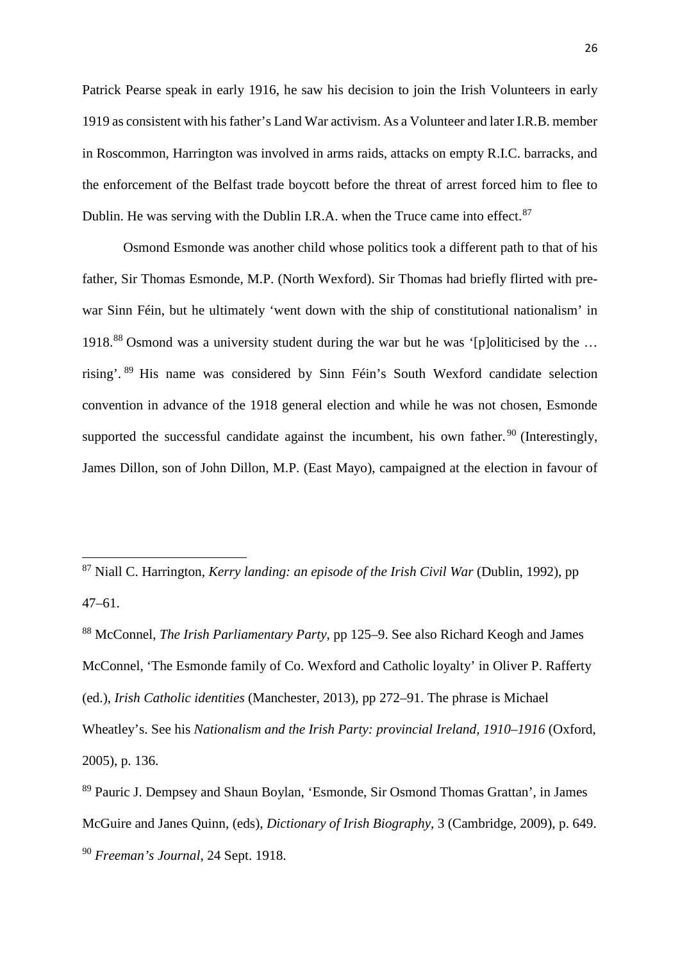Patrick Pearse speak in early 1916, he saw his decision to join the Irish Volunteers in early 1919 as consistent with his father's Land War activism. As a Volunteer and later I.R.B. member in Roscommon, Harrington was involved in arms raids, attacks on empty R.I.C. barracks, and the enforcement of the Belfast trade boycott before the threat of arrest forced him to flee to Dublin. He was serving with the Dublin I.R.A. when the Truce came into effect.<sup>[87](#page-26-0)</sup>

Osmond Esmonde was another child whose politics took a different path to that of his father, Sir Thomas Esmonde, M.P. (North Wexford). Sir Thomas had briefly flirted with prewar Sinn Féin, but he ultimately 'went down with the ship of constitutional nationalism' in 1918.[88](#page-26-1) Osmond was a university student during the war but he was '[p]oliticised by the … rising'. [89](#page-26-2) His name was considered by Sinn Féin's South Wexford candidate selection convention in advance of the 1918 general election and while he was not chosen, Esmonde supported the successful candidate against the incumbent, his own father.  $90$  (Interestingly, James Dillon, son of John Dillon, M.P. (East Mayo), campaigned at the election in favour of

<span id="page-26-0"></span><sup>87</sup> Niall C. Harrington, *Kerry landing: an episode of the Irish Civil War* (Dublin, 1992), pp 47–61.

<span id="page-26-1"></span><sup>88</sup> McConnel, *The Irish Parliamentary Party*, pp 125–9. See also Richard Keogh and James McConnel, 'The Esmonde family of Co. Wexford and Catholic loyalty' in Oliver P. Rafferty (ed.), *Irish Catholic identities* (Manchester, 2013), pp 272–91. The phrase is Michael Wheatley's. See his *Nationalism and the Irish Party: provincial Ireland, 1910–1916* (Oxford, 2005), p. 136.

<span id="page-26-3"></span><span id="page-26-2"></span><sup>89</sup> Pauric J. Dempsey and Shaun Boylan, 'Esmonde, Sir Osmond Thomas Grattan', in James McGuire and Janes Quinn, (eds), *Dictionary of Irish Biography*, 3 (Cambridge, 2009), p. 649. <sup>90</sup> *Freeman's Journal*, 24 Sept. 1918.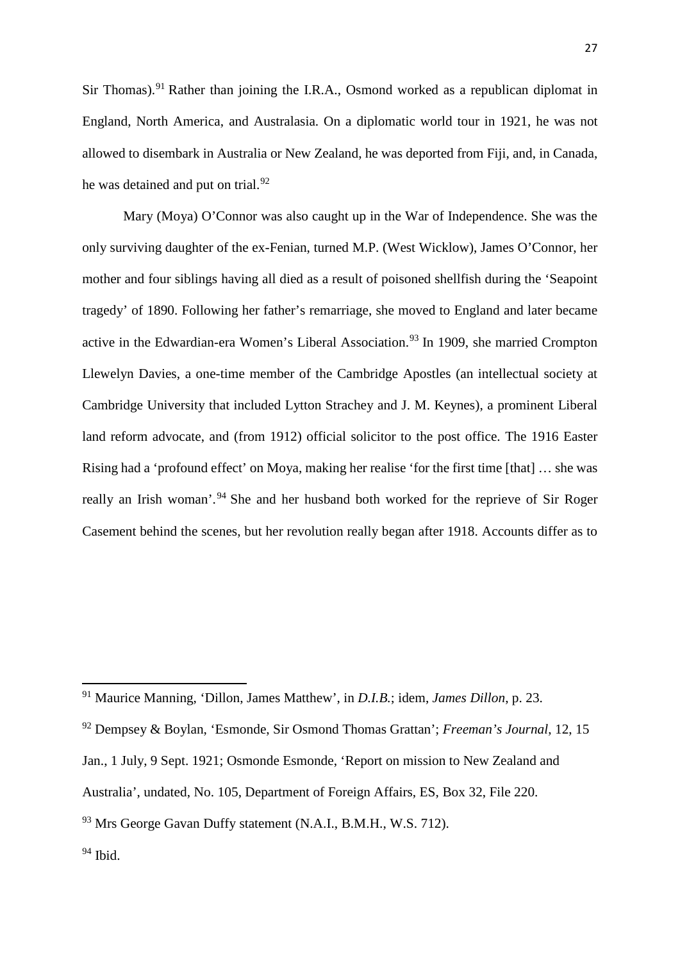Sir Thomas).<sup>[91](#page-27-0)</sup> Rather than joining the I.R.A., Osmond worked as a republican diplomat in England, North America, and Australasia. On a diplomatic world tour in 1921, he was not allowed to disembark in Australia or New Zealand, he was deported from Fiji, and, in Canada, he was detained and put on trial. $92$ 

Mary (Moya) O'Connor was also caught up in the War of Independence. She was the only surviving daughter of the ex-Fenian, turned M.P. (West Wicklow), James O'Connor, her mother and four siblings having all died as a result of poisoned shellfish during the 'Seapoint tragedy' of 1890. Following her father's remarriage, she moved to England and later became active in the Edwardian-era Women's Liberal Association.<sup>[93](#page-27-2)</sup> In 1909, she married Crompton Llewelyn Davies, a one-time member of the Cambridge Apostles (an intellectual society at Cambridge University that included Lytton Strachey and J. M. Keynes), a prominent Liberal land reform advocate, and (from 1912) official solicitor to the post office. The 1916 Easter Rising had a 'profound effect' on Moya, making her realise 'for the first time [that] … she was really an Irish woman'.<sup>[94](#page-27-3)</sup> She and her husband both worked for the reprieve of Sir Roger Casement behind the scenes, but her revolution really began after 1918. Accounts differ as to

<span id="page-27-0"></span><sup>91</sup> Maurice Manning, 'Dillon, James Matthew', in *D.I.B.*; idem, *James Dillon*, p. 23.

<span id="page-27-1"></span><sup>92</sup> Dempsey & Boylan, 'Esmonde, Sir Osmond Thomas Grattan'; *Freeman's Journal*, 12, 15

Jan., 1 July, 9 Sept. 1921; Osmonde Esmonde, 'Report on mission to New Zealand and

Australia', undated, No. 105, Department of Foreign Affairs, ES, Box 32, File 220.

<span id="page-27-2"></span><sup>&</sup>lt;sup>93</sup> Mrs George Gavan Duffy statement (N.A.I., B.M.H., W.S. 712).

<span id="page-27-3"></span> $94$  Ibid.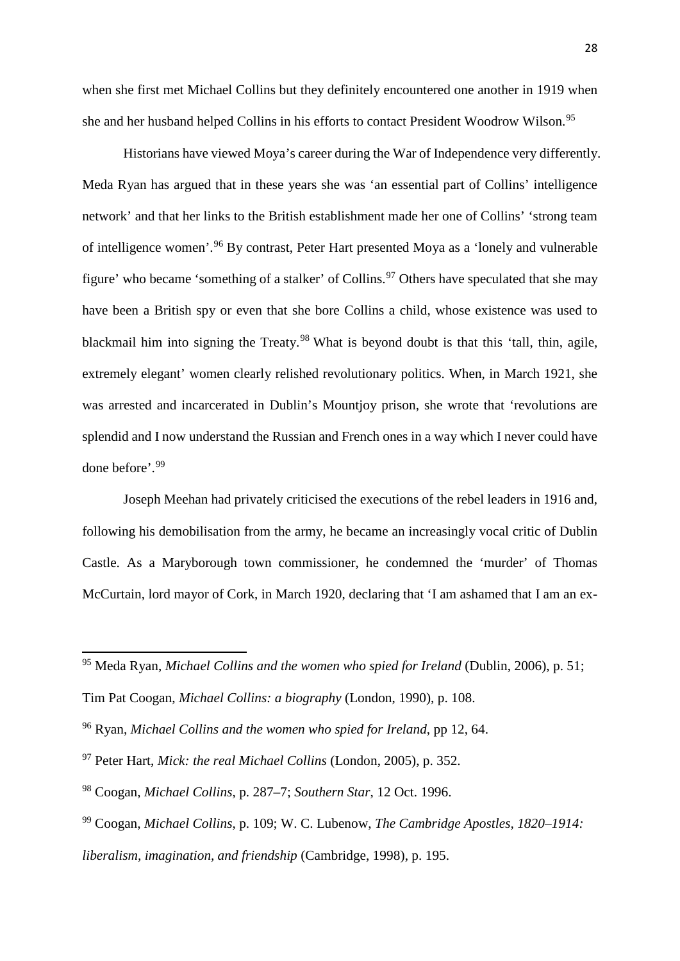when she first met Michael Collins but they definitely encountered one another in 1919 when she and her husband helped Collins in his efforts to contact President Woodrow Wilson. [95](#page-28-0)

Historians have viewed Moya's career during the War of Independence very differently. Meda Ryan has argued that in these years she was 'an essential part of Collins' intelligence network' and that her links to the British establishment made her one of Collins' 'strong team of intelligence women'.[96](#page-28-1) By contrast, Peter Hart presented Moya as a 'lonely and vulnerable figure' who became 'something of a stalker' of Collins.<sup>[97](#page-28-2)</sup> Others have speculated that she may have been a British spy or even that she bore Collins a child, whose existence was used to blackmail him into signing the Treaty.<sup>[98](#page-28-3)</sup> What is beyond doubt is that this 'tall, thin, agile, extremely elegant' women clearly relished revolutionary politics. When, in March 1921, she was arrested and incarcerated in Dublin's Mountjoy prison, she wrote that 'revolutions are splendid and I now understand the Russian and French ones in a way which I never could have done before'.[99](#page-28-4)

Joseph Meehan had privately criticised the executions of the rebel leaders in 1916 and, following his demobilisation from the army, he became an increasingly vocal critic of Dublin Castle. As a Maryborough town commissioner, he condemned the 'murder' of Thomas McCurtain, lord mayor of Cork, in March 1920, declaring that 'I am ashamed that I am an ex-

<span id="page-28-0"></span><sup>95</sup> Meda Ryan, *Michael Collins and the women who spied for Ireland* (Dublin, 2006), p. 51;

Tim Pat Coogan, *Michael Collins: a biography* (London, 1990), p. 108.

<span id="page-28-1"></span><sup>96</sup> Ryan, *Michael Collins and the women who spied for Ireland*, pp 12, 64.

<span id="page-28-2"></span><sup>97</sup> Peter Hart, *Mick: the real Michael Collins* (London, 2005), p. 352.

<span id="page-28-3"></span><sup>98</sup> Coogan, *Michael Collins*, p. 287–7; *Southern Star*, 12 Oct. 1996.

<span id="page-28-4"></span><sup>99</sup> Coogan, *Michael Collins*, p. 109; W. C. Lubenow, *The Cambridge Apostles, 1820–1914: liberalism, imagination, and friendship* (Cambridge, 1998), p. 195.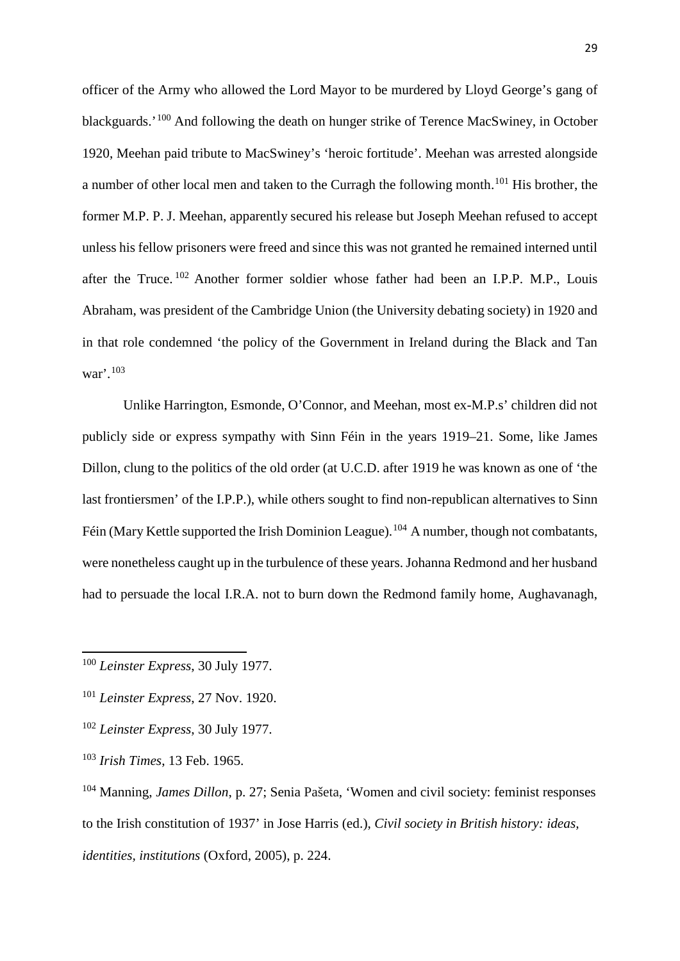officer of the Army who allowed the Lord Mayor to be murdered by Lloyd George's gang of blackguards.'[100](#page-29-0) And following the death on hunger strike of Terence MacSwiney, in October 1920, Meehan paid tribute to MacSwiney's 'heroic fortitude'. Meehan was arrested alongside a number of other local men and taken to the Curragh the following month.[101](#page-29-1) His brother, the former M.P. P. J. Meehan, apparently secured his release but Joseph Meehan refused to accept unless his fellow prisoners were freed and since this was not granted he remained interned until after the Truce. [102](#page-29-2) Another former soldier whose father had been an I.P.P. M.P., Louis Abraham, was president of the Cambridge Union (the University debating society) in 1920 and in that role condemned 'the policy of the Government in Ireland during the Black and Tan war'.[103](#page-29-3)

Unlike Harrington, Esmonde, O'Connor, and Meehan, most ex-M.P.s' children did not publicly side or express sympathy with Sinn Féin in the years 1919–21. Some, like James Dillon, clung to the politics of the old order (at U.C.D. after 1919 he was known as one of 'the last frontiersmen' of the I.P.P.), while others sought to find non-republican alternatives to Sinn Féin (Mary Kettle supported the Irish Dominion League).<sup>[104](#page-29-4)</sup> A number, though not combatants, were nonetheless caught up in the turbulence of these years. Johanna Redmond and her husband had to persuade the local I.R.A. not to burn down the Redmond family home, Aughavanagh,

<span id="page-29-0"></span><sup>100</sup> *Leinster Express*, 30 July 1977.

<span id="page-29-1"></span><sup>101</sup> *Leinster Express*, 27 Nov. 1920.

<span id="page-29-2"></span><sup>102</sup> *Leinster Express*, 30 July 1977.

<span id="page-29-3"></span><sup>103</sup> *Irish Times*, 13 Feb. 1965.

<span id="page-29-4"></span><sup>104</sup> Manning, *James Dillon*, p. 27; Senia Pašeta, 'Women and civil society: feminist responses to the Irish constitution of 1937' in Jose Harris (ed.), *Civil society in British history: ideas, identities, institutions* (Oxford, 2005), p. 224.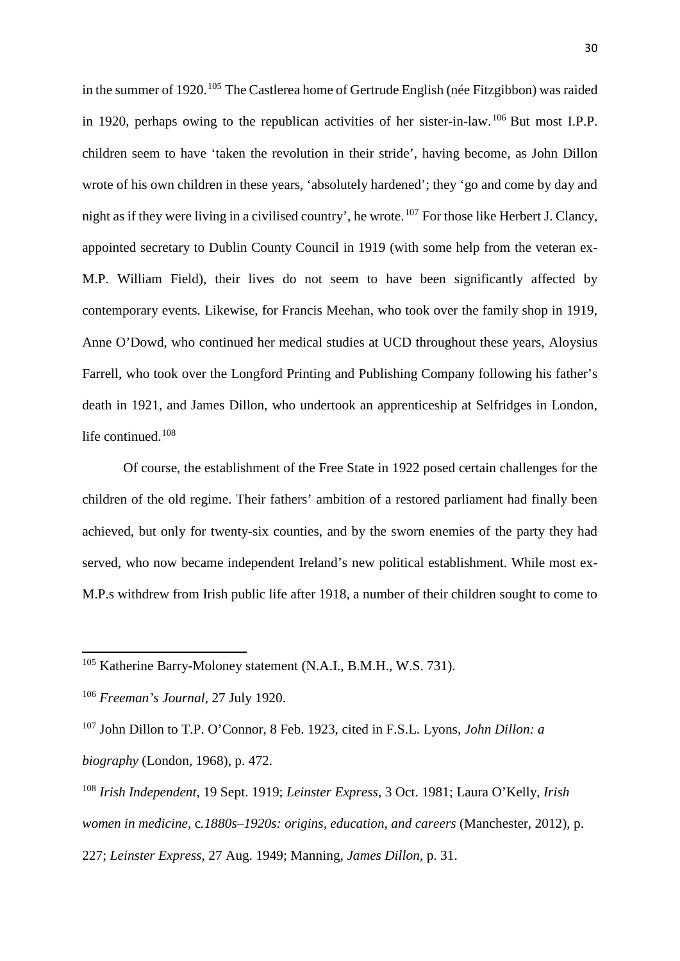in the summer of 1920.<sup>[105](#page-30-0)</sup> The Castlerea home of Gertrude English (née Fitzgibbon) was raided in 1920, perhaps owing to the republican activities of her sister-in-law.<sup>[106](#page-30-1)</sup> But most I.P.P. children seem to have 'taken the revolution in their stride', having become, as John Dillon wrote of his own children in these years, 'absolutely hardened'; they 'go and come by day and night as if they were living in a civilised country', he wrote.<sup>[107](#page-30-2)</sup> For those like Herbert J. Clancy, appointed secretary to Dublin County Council in 1919 (with some help from the veteran ex-M.P. William Field), their lives do not seem to have been significantly affected by contemporary events. Likewise, for Francis Meehan, who took over the family shop in 1919, Anne O'Dowd, who continued her medical studies at UCD throughout these years, Aloysius Farrell, who took over the Longford Printing and Publishing Company following his father's death in 1921, and James Dillon, who undertook an apprenticeship at Selfridges in London, life continued. [108](#page-30-3)

Of course, the establishment of the Free State in 1922 posed certain challenges for the children of the old regime. Their fathers' ambition of a restored parliament had finally been achieved, but only for twenty-six counties, and by the sworn enemies of the party they had served, who now became independent Ireland's new political establishment. While most ex-M.P.s withdrew from Irish public life after 1918, a number of their children sought to come to

<span id="page-30-0"></span><sup>105</sup> Katherine Barry-Moloney statement (N.A.I., B.M.H., W.S. 731).

<span id="page-30-1"></span><sup>106</sup> *Freeman's Journal*, 27 July 1920.

<span id="page-30-2"></span><sup>107</sup> John Dillon to T.P. O'Connor, 8 Feb. 1923, cited in F.S.L. Lyons, *John Dillon: a biography* (London, 1968), p. 472.

<span id="page-30-3"></span><sup>108</sup> *Irish Independent*, 19 Sept. 1919; *Leinster Express*, 3 Oct. 1981; Laura O'Kelly, *Irish women in medicine,* c*.1880s–1920s: origins, education, and careers* (Manchester, 2012), p. 227; *Leinster Express*, 27 Aug. 1949; Manning, *James Dillon*, p. 31.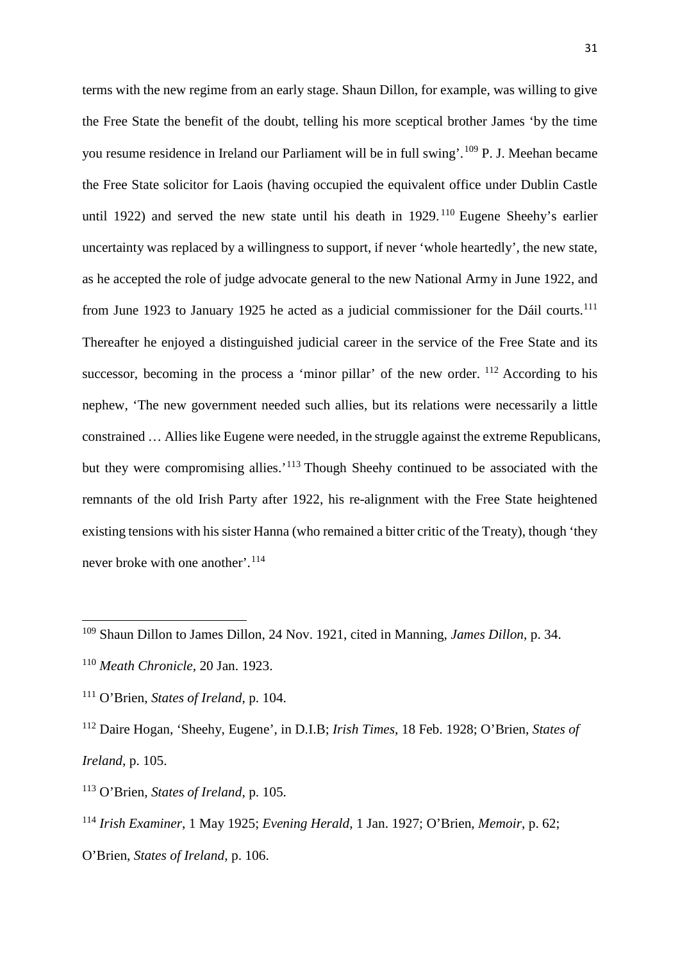terms with the new regime from an early stage. Shaun Dillon, for example, was willing to give the Free State the benefit of the doubt, telling his more sceptical brother James 'by the time you resume residence in Ireland our Parliament will be in full swing'.[109](#page-31-0) P. J. Meehan became the Free State solicitor for Laois (having occupied the equivalent office under Dublin Castle until 1922) and served the new state until his death in 1929.<sup>[110](#page-31-1)</sup> Eugene Sheehy's earlier uncertainty was replaced by a willingness to support, if never 'whole heartedly', the new state, as he accepted the role of judge advocate general to the new National Army in June 1922, and from June 1923 to January 1925 he acted as a judicial commissioner for the [Dáil](https://www.google.co.uk/url?sa=t&rct=j&q=&esrc=s&source=web&cd=2&cad=rja&uact=8&ved=0ahUKEwiWz5_NkM3OAhUaM8AKHUY0AFwQFggnMAE&url=https%3A%2F%2Fen.wikipedia.org%2Fwiki%2FD%25C3%25A1il_%25C3%2589ireann_(Irish_Republic)&usg=AFQjCNHr1QVl74SNL7RSKETNfSJCKkPSyg&bvm=bv.129759880,d.d24) courts.<sup>[111](#page-31-2)</sup> Thereafter he enjoyed a distinguished judicial career in the service of the Free State and its successor, becoming in the process a 'minor pillar' of the new order.  $^{112}$  $^{112}$  $^{112}$  According to his nephew, 'The new government needed such allies, but its relations were necessarily a little constrained … Allies like Eugene were needed, in the struggle against the extreme Republicans, but they were compromising allies.'<sup>[113](#page-31-4)</sup> Though Sheehy continued to be associated with the remnants of the old Irish Party after 1922, his re-alignment with the Free State heightened existing tensions with his sister Hanna (who remained a bitter critic of the Treaty), though 'they never broke with one another'.<sup>[114](#page-31-5)</sup>

<span id="page-31-0"></span><sup>109</sup> Shaun Dillon to James Dillon, 24 Nov. 1921, cited in Manning, *James Dillon*, p. 34.

<span id="page-31-1"></span><sup>110</sup> *Meath Chronicle*, 20 Jan. 1923.

<span id="page-31-2"></span><sup>111</sup> O'Brien, *States of Ireland*, p. 104.

<span id="page-31-3"></span><sup>112</sup> Daire Hogan, 'Sheehy, Eugene', in D.I.B; *Irish Times*, 18 Feb. 1928; O'Brien, *States of Ireland*, p. 105.

<span id="page-31-4"></span><sup>113</sup> O'Brien, *States of Ireland*, p. 105.

<span id="page-31-5"></span><sup>114</sup> *Irish Examiner*, 1 May 1925; *Evening Herald*, 1 Jan. 1927; O'Brien, *Memoir*, p. 62; O'Brien, *States of Ireland*, p. 106.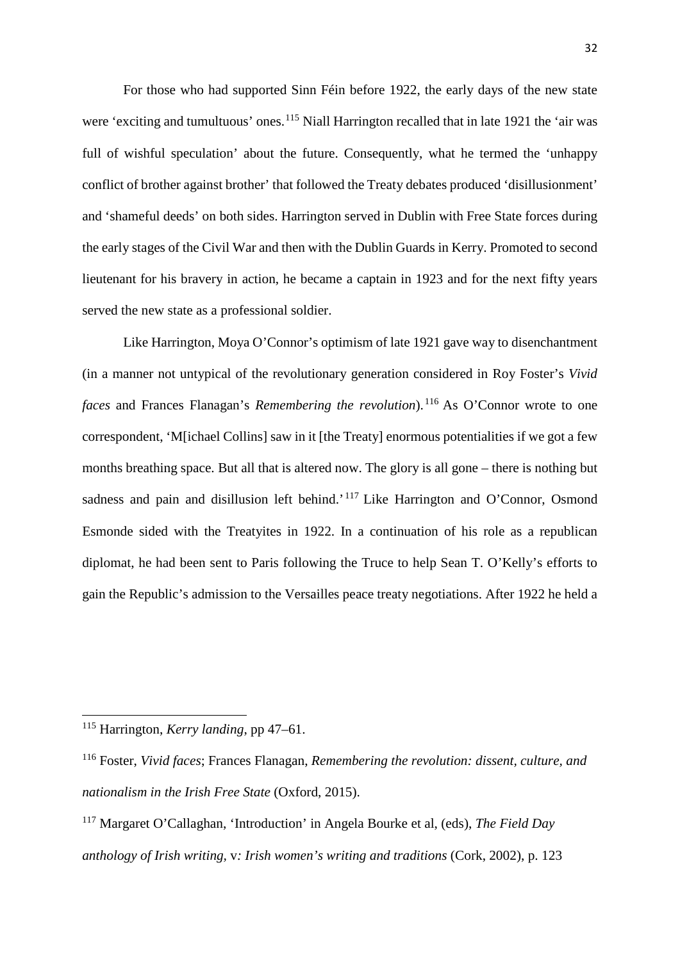For those who had supported Sinn Féin before 1922, the early days of the new state were 'exciting and tumultuous' ones.<sup>[115](#page-32-0)</sup> Niall Harrington recalled that in late 1921 the 'air was full of wishful speculation' about the future. Consequently, what he termed the 'unhappy conflict of brother against brother' that followed the Treaty debates produced 'disillusionment' and 'shameful deeds' on both sides. Harrington served in Dublin with Free State forces during the early stages of the Civil War and then with the Dublin Guards in Kerry. Promoted to second lieutenant for his bravery in action, he became a captain in 1923 and for the next fifty years served the new state as a professional soldier.

Like Harrington, Moya O'Connor's optimism of late 1921 gave way to disenchantment (in a manner not untypical of the revolutionary generation considered in Roy Foster's *Vivid faces* and Frances Flanagan's *Remembering the revolution*). [116](#page-32-1) As O'Connor wrote to one correspondent, 'M[ichael Collins] saw in it [the Treaty] enormous potentialities if we got a few months breathing space. But all that is altered now. The glory is all gone – there is nothing but sadness and pain and disillusion left behind.<sup>'[117](#page-32-2)</sup> Like Harrington and O'Connor, Osmond Esmonde sided with the Treatyites in 1922. In a continuation of his role as a republican diplomat, he had been sent to Paris following the Truce to help Sean T. O'Kelly's efforts to gain the Republic's admission to the Versailles peace treaty negotiations. After 1922 he held a

<span id="page-32-0"></span><sup>115</sup> Harrington, *Kerry landing*, pp 47–61.

<span id="page-32-1"></span><sup>116</sup> Foster, *Vivid faces*; Frances Flanagan, *Remembering the revolution: dissent, culture, and nationalism in the Irish Free State* (Oxford, 2015).

<span id="page-32-2"></span><sup>117</sup> Margaret O'Callaghan, 'Introduction' in Angela Bourke et al, (eds), *The Field Day anthology of Irish writing,* v*: Irish women's writing and traditions* (Cork, 2002), p. 123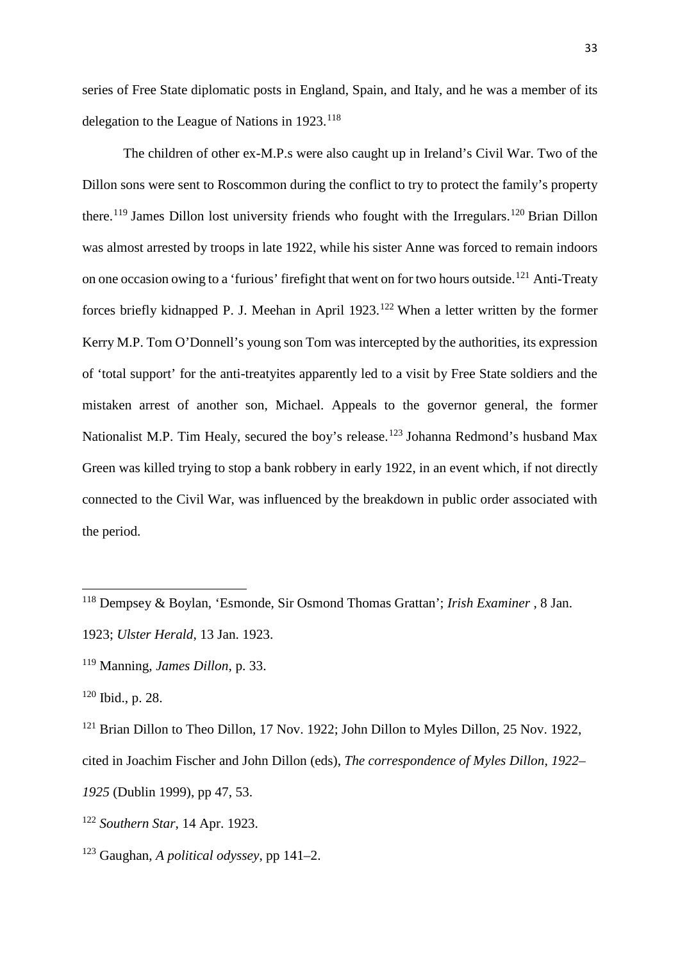series of Free State diplomatic posts in England, Spain, and Italy, and he was a member of its delegation to the League of Nations in 1923.[118](#page-33-0)

The children of other ex-M.P.s were also caught up in Ireland's Civil War. Two of the Dillon sons were sent to Roscommon during the conflict to try to protect the family's property there.<sup>[119](#page-33-1)</sup> James Dillon lost university friends who fought with the Irregulars.<sup>[120](#page-33-2)</sup> Brian Dillon was almost arrested by troops in late 1922, while his sister Anne was forced to remain indoors on one occasion owing to a 'furious' firefight that went on for two hours outside.<sup>[121](#page-33-3)</sup> Anti-Treaty forces briefly kidnapped P. J. Meehan in April 1923.<sup>[122](#page-33-4)</sup> When a letter written by the former Kerry M.P. Tom O'Donnell's young son Tom was intercepted by the authorities, its expression of 'total support' for the anti-treatyites apparently led to a visit by Free State soldiers and the mistaken arrest of another son, Michael. Appeals to the governor general, the former Nationalist M.P. Tim Healy, secured the boy's release.<sup>[123](#page-33-5)</sup> Johanna Redmond's husband Max Green was killed trying to stop a bank robbery in early 1922, in an event which, if not directly connected to the Civil War, was influenced by the breakdown in public order associated with the period.

<span id="page-33-0"></span><sup>118</sup> Dempsey & Boylan, 'Esmonde, Sir Osmond Thomas Grattan'; *Irish Examiner* , 8 Jan.

<sup>1923;</sup> *Ulster Herald*, 13 Jan. 1923.

<span id="page-33-1"></span><sup>119</sup> Manning, *James Dillon*, p. 33.

<span id="page-33-2"></span><sup>120</sup> Ibid., p. 28.

<span id="page-33-3"></span><sup>&</sup>lt;sup>121</sup> Brian Dillon to Theo Dillon, 17 Nov. 1922; John Dillon to Myles Dillon, 25 Nov. 1922, cited in Joachim Fischer and John Dillon (eds), *The correspondence of Myles Dillon, 1922– 1925* (Dublin 1999), pp 47, 53.

<span id="page-33-4"></span><sup>122</sup> *Southern Star*, 14 Apr. 1923.

<span id="page-33-5"></span><sup>123</sup> Gaughan, *A political odyssey*, pp 141–2.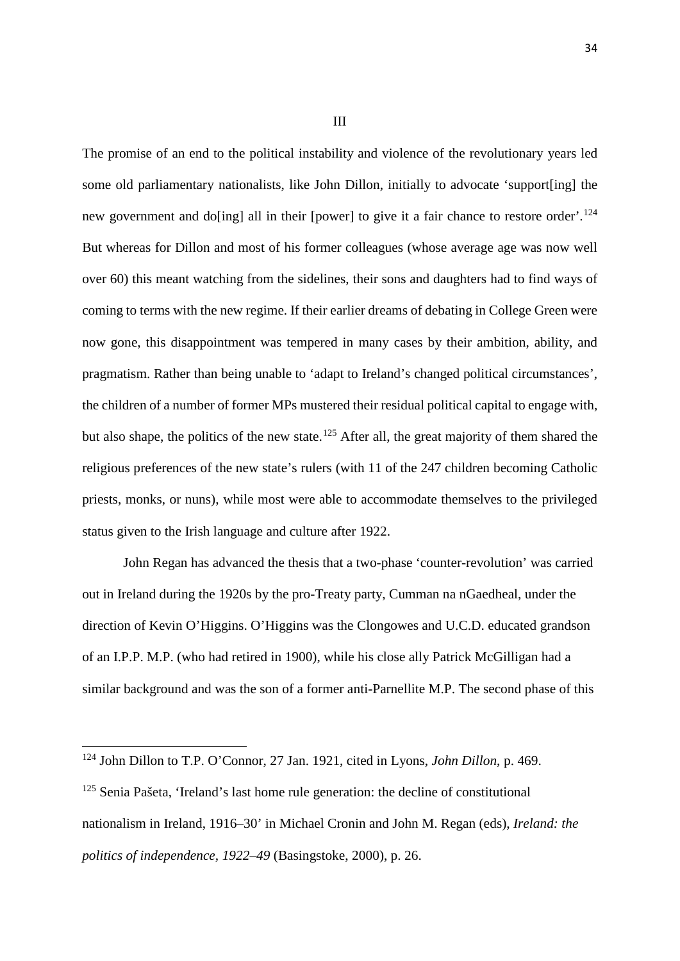III

The promise of an end to the political instability and violence of the revolutionary years led some old parliamentary nationalists, like John Dillon, initially to advocate 'support[ing] the new government and do[ing] all in their [power] to give it a fair chance to restore order'.<sup>[124](#page-34-0)</sup> But whereas for Dillon and most of his former colleagues (whose average age was now well over 60) this meant watching from the sidelines, their sons and daughters had to find ways of coming to terms with the new regime. If their earlier dreams of debating in College Green were now gone, this disappointment was tempered in many cases by their ambition, ability, and pragmatism. Rather than being unable to 'adapt to Ireland's changed political circumstances', the children of a number of former MPs mustered their residual political capital to engage with, but also shape, the politics of the new state.<sup>[125](#page-34-1)</sup> After all, the great majority of them shared the religious preferences of the new state's rulers (with 11 of the 247 children becoming Catholic priests, monks, or nuns), while most were able to accommodate themselves to the privileged status given to the Irish language and culture after 1922.

John Regan has advanced the thesis that a two-phase 'counter-revolution' was carried out in Ireland during the 1920s by the pro-Treaty party, Cumman na nGaedheal, under the direction of Kevin O'Higgins. O'Higgins was the Clongowes and U.C.D. educated grandson of an I.P.P. M.P. (who had retired in 1900), while his close ally Patrick McGilligan had a similar background and was the son of a former anti-Parnellite M.P. The second phase of this

<span id="page-34-0"></span><sup>124</sup> John Dillon to T.P. O'Connor, 27 Jan. 1921, cited in Lyons, *John Dillon*, p. 469.

<span id="page-34-1"></span><sup>&</sup>lt;sup>125</sup> Senia Pašeta, 'Ireland's last home rule generation: the decline of constitutional nationalism in Ireland, 1916–30' in Michael Cronin and John M. Regan (eds), *Ireland: the politics of independence, 1922–49* (Basingstoke, 2000), p. 26.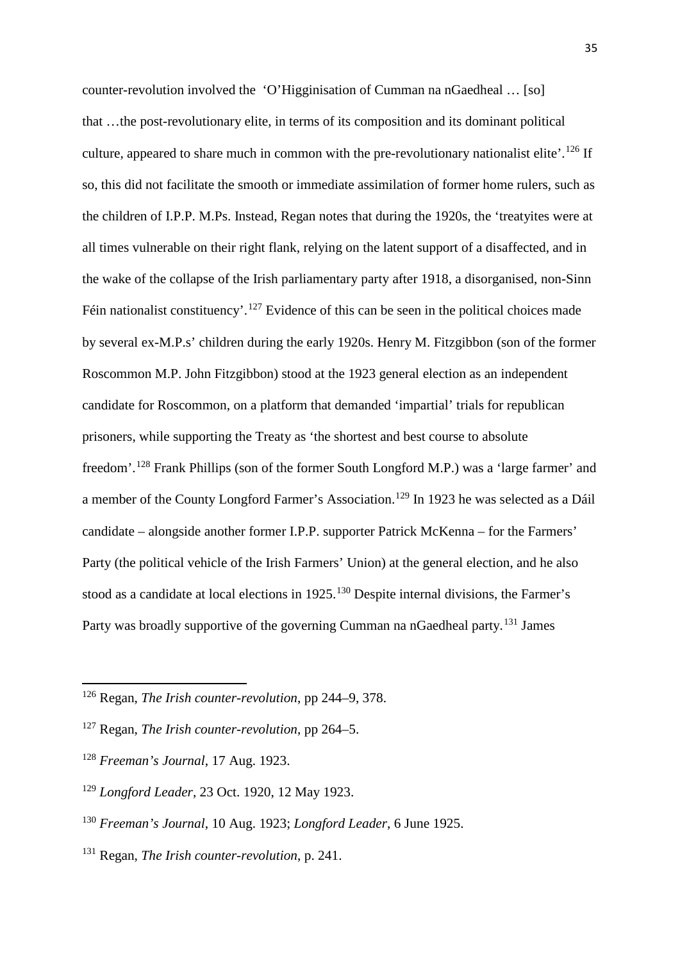counter-revolution involved the 'O'Higginisation of Cumman na nGaedheal … [so] that …the post-revolutionary elite, in terms of its composition and its dominant political culture, appeared to share much in common with the pre-revolutionary nationalist elite'.<sup>[126](#page-35-0)</sup> If so, this did not facilitate the smooth or immediate assimilation of former home rulers, such as the children of I.P.P. M.Ps. Instead, Regan notes that during the 1920s, the 'treatyites were at all times vulnerable on their right flank, relying on the latent support of a disaffected, and in the wake of the collapse of the Irish parliamentary party after 1918, a disorganised, non-Sinn Féin nationalist constituency'.<sup>[127](#page-35-1)</sup> Evidence of this can be seen in the political choices made by several ex-M.P.s' children during the early 1920s. Henry M. Fitzgibbon (son of the former Roscommon M.P. John Fitzgibbon) stood at the 1923 general election as an independent candidate for Roscommon, on a platform that demanded 'impartial' trials for republican prisoners, while supporting the Treaty as 'the shortest and best course to absolute freedom'.[128](#page-35-2) Frank Phillips (son of the former South Longford M.P.) was a 'large farmer' and a member of the County Longford Farmer's Association.[129](#page-35-3) In 1923 he was selected as a [Dáil](https://www.google.co.uk/url?sa=t&rct=j&q=&esrc=s&source=web&cd=2&cad=rja&uact=8&ved=0ahUKEwiWz5_NkM3OAhUaM8AKHUY0AFwQFggnMAE&url=https%3A%2F%2Fen.wikipedia.org%2Fwiki%2FD%25C3%25A1il_%25C3%2589ireann_(Irish_Republic)&usg=AFQjCNHr1QVl74SNL7RSKETNfSJCKkPSyg&bvm=bv.129759880,d.d24) candidate – alongside another former I.P.P. supporter Patrick McKenna – for the Farmers' Party (the political vehicle of the Irish Farmers' Union) at the general election, and he also stood as a candidate at local elections in 1925.<sup>[130](#page-35-4)</sup> Despite internal divisions, the Farmer's Party was broadly supportive of the governing Cumman na nGaedheal party.<sup>[131](#page-35-5)</sup> James

<span id="page-35-0"></span><sup>126</sup> Regan, *The Irish counter-revolution*, pp 244–9, 378.

<span id="page-35-1"></span><sup>127</sup> Regan, *The Irish counter-revolution*, pp 264–5.

<span id="page-35-2"></span><sup>128</sup> *Freeman's Journal*, 17 Aug. 1923.

<span id="page-35-3"></span><sup>129</sup> *Longford Leader*, 23 Oct. 1920, 12 May 1923.

<span id="page-35-4"></span><sup>130</sup> *Freeman's Journal*, 10 Aug. 1923; *Longford Leader*, 6 June 1925.

<span id="page-35-5"></span><sup>131</sup> Regan, *The Irish counter-revolution*, p. 241.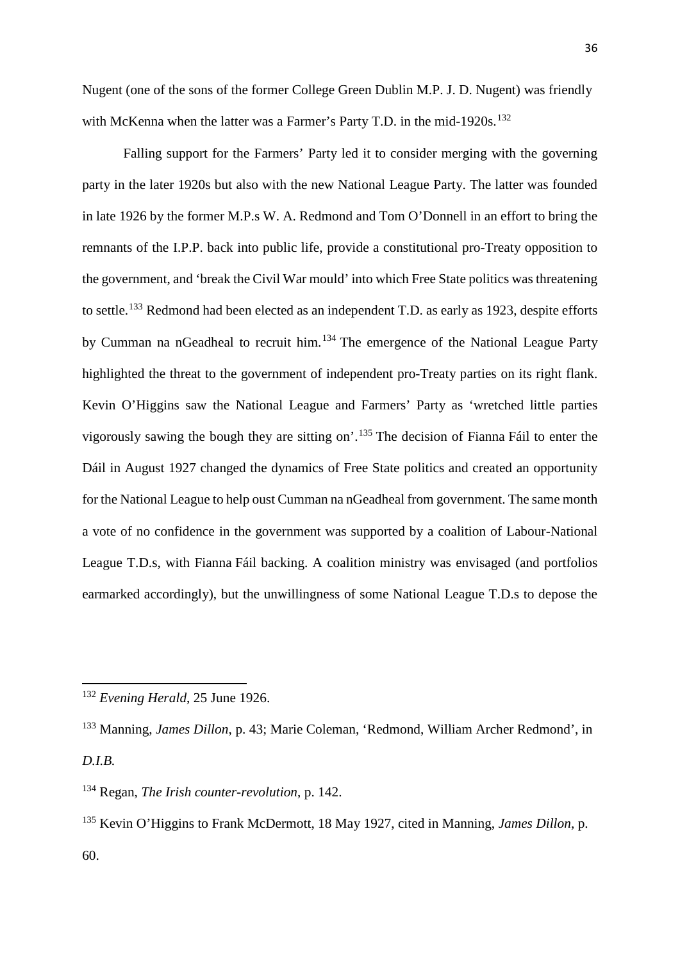Nugent (one of the sons of the former College Green Dublin M.P. J. D. Nugent) was friendly with McKenna when the latter was a Farmer's Party T.D. in the mid-1920s.<sup>[132](#page-36-0)</sup>

Falling support for the Farmers' Party led it to consider merging with the governing party in the later 1920s but also with the new National League Party. The latter was founded in late 1926 by the former M.P.s W. A. Redmond and Tom O'Donnell in an effort to bring the remnants of the I.P.P. back into public life, provide a constitutional pro-Treaty opposition to the government, and 'break the Civil War mould' into which Free State politics was threatening to settle.<sup>[133](#page-36-1)</sup> Redmond had been elected as an independent T.D. as early as 1923, despite efforts by Cumman na nGeadheal to recruit him.[134](#page-36-2) The emergence of the National League Party highlighted the threat to the government of independent pro-Treaty parties on its right flank. Kevin O'Higgins saw the National League and Farmers' Party as 'wretched little parties vigorously sawing the bough they are sitting on'.[135](#page-36-3) The decision of Fianna Fáil to enter the Dáil in August 1927 changed the dynamics of Free State politics and created an opportunity for the National League to help oust Cumman na nGeadheal from government. The same month a vote of no confidence in the government was supported by a coalition of Labour-National League T.D.s, with Fianna Fáil backing. A coalition ministry was envisaged (and portfolios earmarked accordingly), but the unwillingness of some National League T.D.s to depose the

<span id="page-36-0"></span><sup>132</sup> *Evening Herald*, 25 June 1926.

<span id="page-36-1"></span><sup>133</sup> Manning, *James Dillon*, p. 43; Marie Coleman, 'Redmond, William Archer Redmond', in *D.I.B.*

<span id="page-36-2"></span><sup>134</sup> Regan, *The Irish counter-revolution*, p. 142.

<span id="page-36-3"></span><sup>135</sup> Kevin O'Higgins to Frank McDermott, 18 May 1927, cited in Manning, *James Dillon*, p. 60.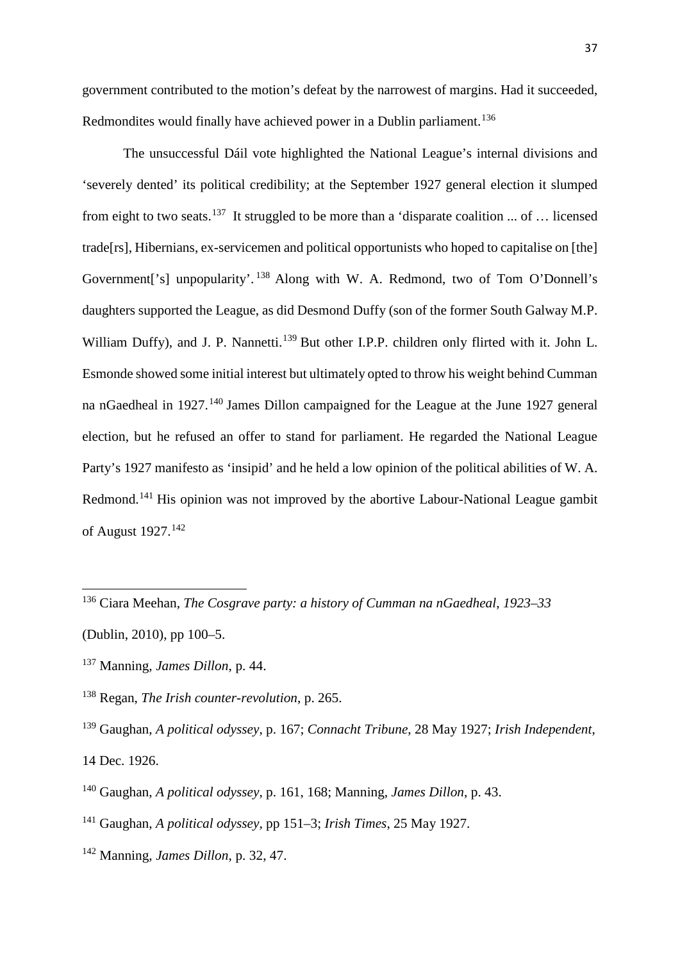government contributed to the motion's defeat by the narrowest of margins. Had it succeeded, Redmondites would finally have achieved power in a Dublin parliament.<sup>[136](#page-37-0)</sup>

The unsuccessful Dáil vote highlighted the National League's internal divisions and 'severely dented' its political credibility; at the September 1927 general election it slumped from eight to two seats.<sup>[137](#page-37-1)</sup> It struggled to be more than a 'disparate coalition ... of ... licensed trade[rs], Hibernians, ex-servicemen and political opportunists who hoped to capitalise on [the] Government['s] unpopularity'. [138](#page-37-2) Along with W. A. Redmond, two of Tom O'Donnell's daughters supported the League, as did Desmond Duffy (son of the former South Galway M.P. William Duffy), and J. P. Nannetti.<sup>[139](#page-37-3)</sup> But other I.P.P. children only flirted with it. John L. Esmonde showed some initial interest but ultimately opted to throw his weight behind Cumman na nGaedheal in 1927.<sup>[140](#page-37-4)</sup> James Dillon campaigned for the League at the June 1927 general election, but he refused an offer to stand for parliament. He regarded the National League Party's 1927 manifesto as 'insipid' and he held a low opinion of the political abilities of W. A. Redmond.[141](#page-37-5) His opinion was not improved by the abortive Labour-National League gambit of August 1927.[142](#page-37-6)

<span id="page-37-0"></span><sup>136</sup> Ciara Meehan, *The Cosgrave party: a history of Cumman na nGaedheal*, *1923–33*

<sup>(</sup>Dublin, 2010), pp 100–5.

<span id="page-37-1"></span><sup>137</sup> Manning, *James Dillon*, p. 44.

<span id="page-37-2"></span><sup>138</sup> Regan, *The Irish counter-revolution*, p. 265.

<span id="page-37-3"></span><sup>139</sup> Gaughan, *A political odyssey*, p. 167; *Connacht Tribune*, 28 May 1927; *Irish Independent*, 14 Dec. 1926.

<span id="page-37-4"></span><sup>140</sup> Gaughan, *A political odyssey*, p. 161, 168; Manning, *James Dillon*, p. 43.

<span id="page-37-5"></span><sup>141</sup> Gaughan, *A political odyssey,* pp 151–3; *Irish Times*, 25 May 1927.

<span id="page-37-6"></span><sup>142</sup> Manning, *James Dillon*, p. 32, 47.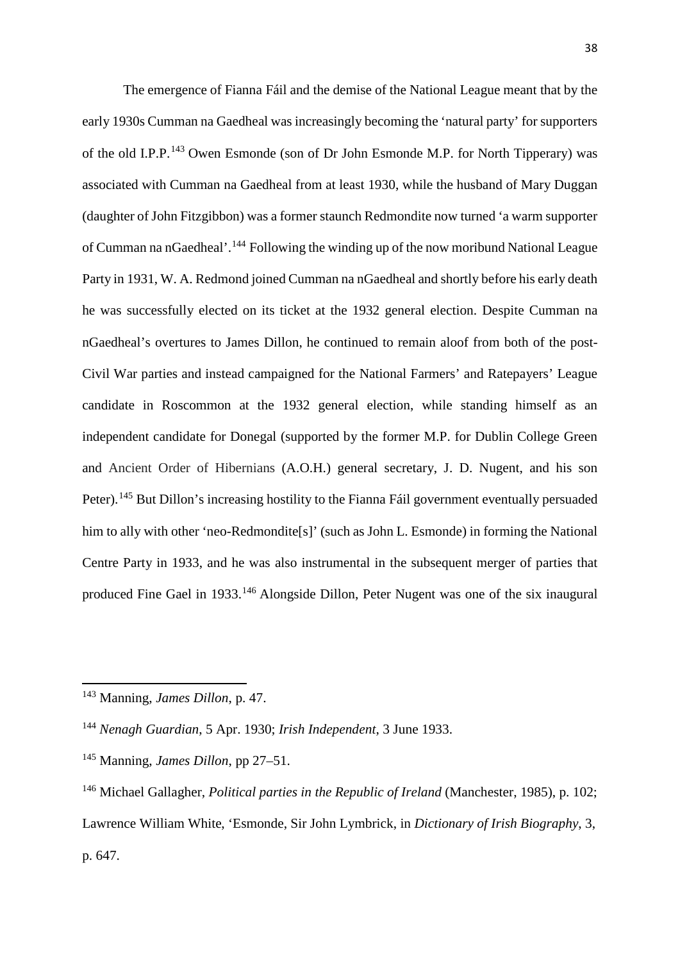The emergence of Fianna Fáil and the demise of the National League meant that by the early 1930s Cumman na Gaedheal was increasingly becoming the 'natural party' for supporters of the old I.P.P.<sup>[143](#page-38-0)</sup> Owen Esmonde (son of Dr John Esmonde M.P. for North Tipperary) was associated with Cumman na Gaedheal from at least 1930, while the husband of Mary Duggan (daughter of John Fitzgibbon) was a former staunch Redmondite now turned 'a warm supporter of Cumman na nGaedheal'.[144](#page-38-1) Following the winding up of the now moribund National League Party in 1931, W. A. Redmond joined Cumman na nGaedheal and shortly before his early death he was successfully elected on its ticket at the 1932 general election. Despite Cumman na nGaedheal's overtures to James Dillon, he continued to remain aloof from both of the post-Civil War parties and instead campaigned for the National Farmers' and Ratepayers' League candidate in Roscommon at the 1932 general election, while standing himself as an independent candidate for Donegal (supported by the former M.P. for Dublin College Green and Ancient Order of Hibernians (A.O.H.) general secretary, J. D. Nugent, and his son Peter).<sup>[145](#page-38-2)</sup> But Dillon's increasing hostility to the Fianna Fáil government eventually persuaded him to ally with other 'neo-Redmondite[s]' (such as John L. Esmonde) in forming the National Centre Party in 1933, and he was also instrumental in the subsequent merger of parties that produced Fine Gael in 1933.[146](#page-38-3) Alongside Dillon, Peter Nugent was one of the six inaugural

<span id="page-38-0"></span><sup>143</sup> Manning, *James Dillon*, p. 47.

<span id="page-38-1"></span><sup>144</sup> *Nenagh Guardian*, 5 Apr. 1930; *Irish Independent*, 3 June 1933.

<span id="page-38-2"></span><sup>145</sup> Manning, *James Dillon*, pp 27–51.

<span id="page-38-3"></span><sup>146</sup> Michael Gallagher, *Political parties in the Republic of Ireland* (Manchester, 1985), p. 102; Lawrence William White, 'Esmonde, Sir John Lymbrick, in *Dictionary of Irish Biography*, 3, p. 647.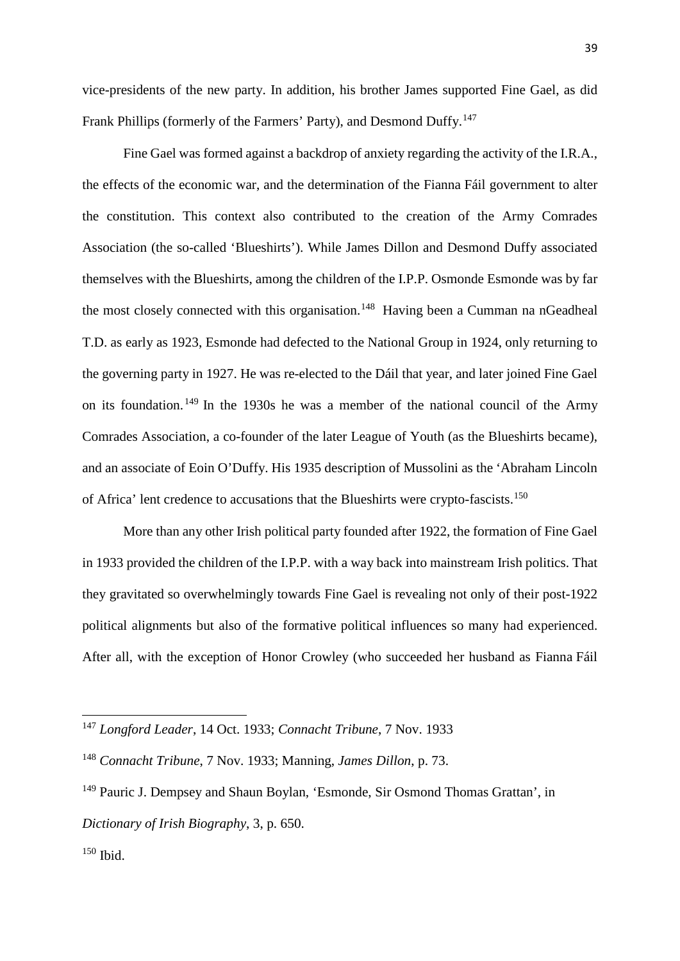vice-presidents of the new party. In addition, his brother James supported Fine Gael, as did Frank Phillips (formerly of the Farmers' Party), and Desmond Duffy.<sup>[147](#page-39-0)</sup>

Fine Gael was formed against a backdrop of anxiety regarding the activity of the I.R.A., the effects of the economic war, and the determination of the Fianna Fáil government to alter the constitution. This context also contributed to the creation of the Army Comrades Association (the so-called 'Blueshirts'). While James Dillon and Desmond Duffy associated themselves with the Blueshirts, among the children of the I.P.P. Osmonde Esmonde was by far the most closely connected with this organisation.<sup>[148](#page-39-1)</sup> Having been a Cumman na nGeadheal T.D. as early as 1923, Esmonde had defected to the National Group in 1924, only returning to the governing party in 1927. He was re-elected to the Dáil that year, and later joined Fine Gael on its foundation. [149](#page-39-2) In the 1930s he was a member of the national council of the Army Comrades Association, a co-founder of the later League of Youth (as the Blueshirts became), and an associate of Eoin O'Duffy. His 1935 description of Mussolini as the 'Abraham Lincoln of Africa' lent credence to accusations that the Blueshirts were crypto-fascists.[150](#page-39-3)

More than any other Irish political party founded after 1922, the formation of Fine Gael in 1933 provided the children of the I.P.P. with a way back into mainstream Irish politics. That they gravitated so overwhelmingly towards Fine Gael is revealing not only of their post-1922 political alignments but also of the formative political influences so many had experienced. After all, with the exception of Honor Crowley (who succeeded her husband as Fianna Fáil

<span id="page-39-0"></span><sup>147</sup> *Longford Leader*, 14 Oct. 1933; *Connacht Tribune*, 7 Nov. 1933

<span id="page-39-1"></span><sup>148</sup> *Connacht Tribune*, 7 Nov. 1933; Manning, *James Dillon*, p. 73.

<span id="page-39-3"></span><span id="page-39-2"></span><sup>&</sup>lt;sup>149</sup> Pauric J. Dempsey and Shaun Boylan, 'Esmonde, Sir Osmond Thomas Grattan', in *Dictionary of Irish Biography*, 3, p. 650.  $150$  Ibid.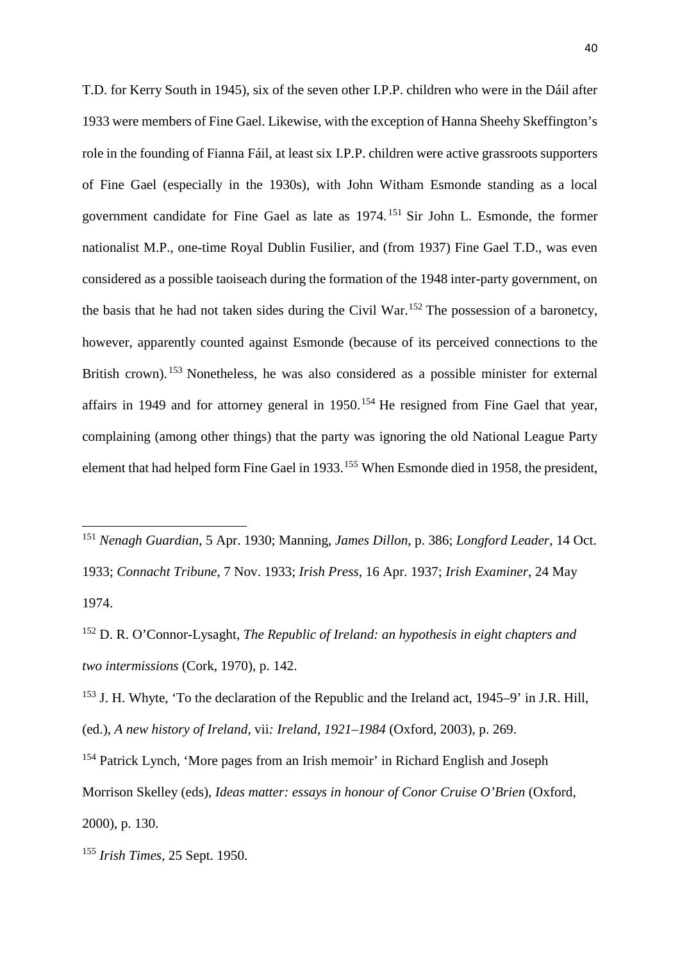T.D. for Kerry South in 1945), six of the seven other I.P.P. children who were in the Dáil after 1933 were members of Fine Gael. Likewise, with the exception of Hanna Sheehy Skeffington's role in the founding of Fianna Fáil, at least six I.P.P. children were active grassroots supporters of Fine Gael (especially in the 1930s), with John Witham Esmonde standing as a local government candidate for Fine Gael as late as 1974. [151](#page-40-0) Sir John L. Esmonde, the former nationalist M.P., one-time Royal Dublin Fusilier, and (from 1937) Fine Gael T.D., was even considered as a possible taoiseach during the formation of the 1948 inter-party government, on the basis that he had not taken sides during the Civil War.<sup>[152](#page-40-1)</sup> The possession of a baronetcy, however, apparently counted against Esmonde (because of its perceived connections to the British crown).<sup>[153](#page-40-2)</sup> Nonetheless, he was also considered as a possible minister for external affairs in 1949 and for attorney general in  $1950$ .<sup>[154](#page-40-3)</sup> He resigned from Fine Gael that year, complaining (among other things) that the party was ignoring the old National League Party element that had helped form Fine Gael in 1933.[155](#page-40-4) When Esmonde died in 1958, the president,

- <span id="page-40-2"></span><sup>153</sup> J. H. Whyte, 'To the declaration of the Republic and the Ireland act, 1945–9' in J.R. Hill, (ed.), *A new history of Ireland,* vii*: Ireland, 1921–1984* (Oxford, 2003), p. 269.
- <span id="page-40-3"></span><sup>154</sup> Patrick Lynch, 'More pages from an Irish memoir' in Richard English and Joseph Morrison Skelley (eds), *Ideas matter: essays in honour of Conor Cruise O'Brien* (Oxford, 2000), p. 130.

<u>.</u>

<span id="page-40-0"></span><sup>151</sup> *Nenagh Guardian*, 5 Apr. 1930; Manning, *James Dillon*, p. 386; *Longford Leader*, 14 Oct. 1933; *Connacht Tribune*, 7 Nov. 1933; *Irish Press*, 16 Apr. 1937; *Irish Examiner*, 24 May 1974.

<span id="page-40-1"></span><sup>152</sup> D. R. O'Connor-Lysaght, *The Republic of Ireland: an hypothesis in eight chapters and two intermissions* (Cork, 1970), p. 142.

<span id="page-40-4"></span><sup>155</sup> *Irish Times*, 25 Sept. 1950.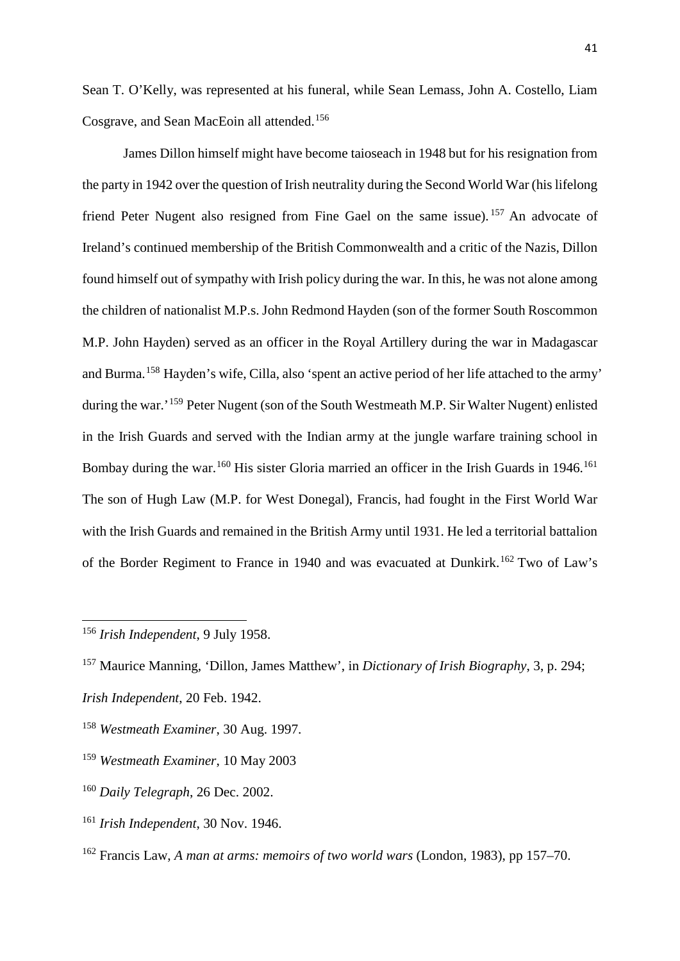Sean T. O'Kelly, was represented at his funeral, while Sean Lemass, John A. Costello, Liam Cosgrave, and Sean MacEoin all attended.[156](#page-41-0)

James Dillon himself might have become taioseach in 1948 but for his resignation from the party in 1942 over the question of Irish neutrality during the Second World War (his lifelong friend Peter Nugent also resigned from Fine Gael on the same issue). <sup>[157](#page-41-1)</sup> An advocate of Ireland's continued membership of the British Commonwealth and a critic of the Nazis, Dillon found himself out of sympathy with Irish policy during the war. In this, he was not alone among the children of nationalist M.P.s. John Redmond Hayden (son of the former South Roscommon M.P. John Hayden) served as an officer in the Royal Artillery during the war in Madagascar and Burma.[158](#page-41-2) Hayden's wife, Cilla, also 'spent an active period of her life attached to the army' during the war.'[159](#page-41-3) Peter Nugent (son of the South Westmeath M.P. Sir Walter Nugent) enlisted in the Irish Guards and served with the Indian army at the jungle warfare training school in Bombay during the war.<sup>[160](#page-41-4)</sup> His sister Gloria married an officer in the Irish Guards in 1946.<sup>[161](#page-41-5)</sup> The son of Hugh Law (M.P. for West Donegal), Francis, had fought in the First World War with the Irish Guards and remained in the British Army until 1931. He led a territorial battalion of the Border Regiment to France in 1940 and was evacuated at Dunkirk.<sup>[162](#page-41-6)</sup> Two of Law's

<span id="page-41-0"></span><sup>156</sup> *Irish Independent*, 9 July 1958.

**.** 

<span id="page-41-5"></span><sup>161</sup> *Irish Independent*, 30 Nov. 1946.

<span id="page-41-1"></span><sup>157</sup> Maurice Manning, 'Dillon, James Matthew', in *Dictionary of Irish Biography*, 3, p. 294; *Irish Independent*, 20 Feb. 1942.

<span id="page-41-2"></span><sup>158</sup> *Westmeath Examiner*, 30 Aug. 1997.

<span id="page-41-3"></span><sup>159</sup> *Westmeath Examiner*, 10 May 2003

<span id="page-41-4"></span><sup>160</sup> *Daily Telegraph*, 26 Dec. 2002.

<span id="page-41-6"></span><sup>162</sup> Francis Law, *A man at arms: memoirs of two world wars* (London, 1983), pp 157–70.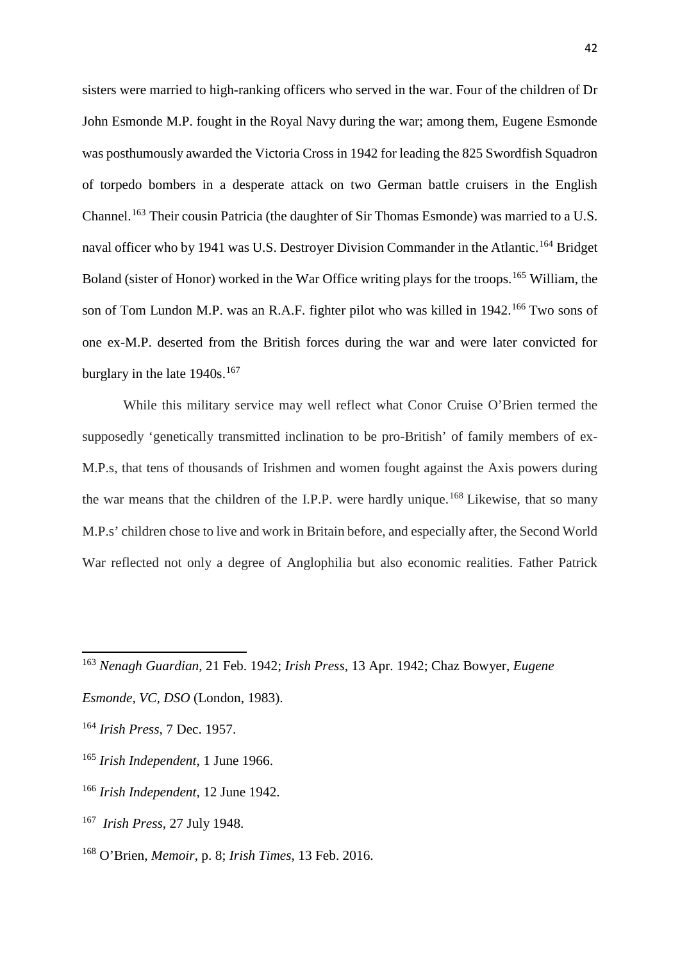sisters were married to high-ranking officers who served in the war. Four of the children of Dr John Esmonde M.P. fought in the Royal Navy during the war; among them, Eugene Esmonde was posthumously awarded the Victoria Cross in 1942 for leading the 825 Swordfish Squadron of torpedo bombers in a desperate attack on two German battle cruisers in the English Channel.<sup>[163](#page-42-0)</sup> Their cousin Patricia (the daughter of Sir Thomas Esmonde) was married to a U.S. naval officer who by 1941 was U.S. Destroyer Division Commander in the Atlantic.<sup>[164](#page-42-1)</sup> Bridget Boland (sister of Honor) worked in the War Office writing plays for the troops.<sup>[165](#page-42-2)</sup> William, the son of Tom Lundon M.P. was an R.A.F. fighter pilot who was killed in 1942.<sup>[166](#page-42-3)</sup> Two sons of one ex-M.P. deserted from the British forces during the war and were later convicted for burglary in the late 1940s.<sup>[167](#page-42-4)</sup>

While this military service may well reflect what Conor Cruise O'Brien termed the supposedly 'genetically transmitted inclination to be pro-British' of family members of ex-M.P.s, that tens of thousands of Irishmen and women fought against the Axis powers during the war means that the children of the I.P.P. were hardly unique.<sup>[168](#page-42-5)</sup> Likewise, that so many M.P.s' children chose to live and work in Britain before, and especially after, the Second World War reflected not only a degree of Anglophilia but also economic realities. Father Patrick

- <span id="page-42-2"></span><sup>165</sup> *Irish Independent*, 1 June 1966.
- <span id="page-42-3"></span><sup>166</sup> *Irish Independent*, 12 June 1942.
- <span id="page-42-4"></span><sup>167</sup> *Irish Press*, 27 July 1948.
- <span id="page-42-5"></span><sup>168</sup> O'Brien, *Memoir*, p. 8; *Irish Times*, 13 Feb. 2016.

<span id="page-42-0"></span><sup>163</sup> *Nenagh Guardian*, 21 Feb. 1942; *Irish Press*, 13 Apr. 1942; Chaz Bowyer, *Eugene* 

*Esmonde, VC, DSO* (London, 1983).

<span id="page-42-1"></span><sup>164</sup> *Irish Press*, 7 Dec. 1957.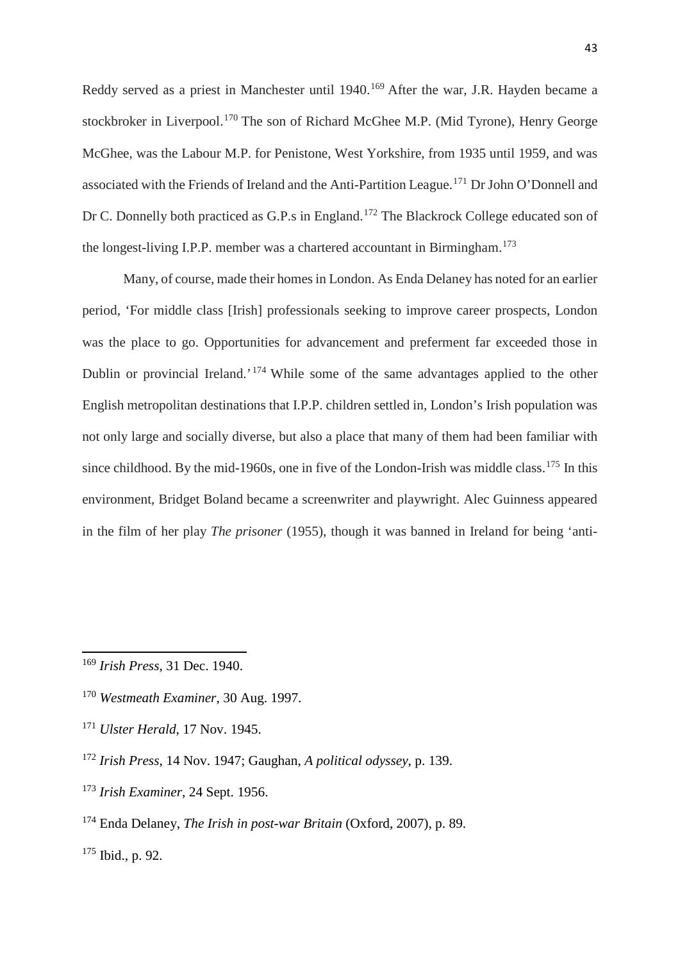Reddy served as a priest in Manchester until 1940.<sup>[169](#page-43-0)</sup> After the war, J.R. Hayden became a stockbroker in Liverpool.<sup>[170](#page-43-1)</sup> The son of Richard McGhee M.P. (Mid Tyrone), Henry George McGhee, was the Labour M.P. for Penistone, West Yorkshire, from 1935 until 1959, and was associated with the Friends of Ireland and the Anti-Partition League.[171](#page-43-2) Dr John O'Donnell and Dr C. Donnelly both practiced as G.P.s in England.[172](#page-43-3) The Blackrock College educated son of the longest-living I.P.P. member was a chartered accountant in Birmingham.<sup>[173](#page-43-4)</sup>

Many, of course, made their homes in London. As Enda Delaney has noted for an earlier period, 'For middle class [Irish] professionals seeking to improve career prospects, London was the place to go. Opportunities for advancement and preferment far exceeded those in Dublin or provincial Ireland.<sup>'</sup> [174](#page-43-5) While some of the same advantages applied to the other English metropolitan destinations that I.P.P. children settled in, London's Irish population was not only large and socially diverse, but also a place that many of them had been familiar with since childhood. By the mid-1960s, one in five of the London-Irish was middle class.<sup>[175](#page-43-6)</sup> In this environment, Bridget Boland became a screenwriter and playwright. Alec Guinness appeared in the film of her play *The prisoner* (1955), though it was banned in Ireland for being 'anti-

- <span id="page-43-2"></span><sup>171</sup> *Ulster Herald*, 17 Nov. 1945.
- <span id="page-43-3"></span><sup>172</sup> *Irish Press*, 14 Nov. 1947; Gaughan, *A political odyssey*, p. 139.
- <span id="page-43-4"></span><sup>173</sup> *Irish Examiner*, 24 Sept. 1956.
- <span id="page-43-5"></span><sup>174</sup> Enda Delaney, *The Irish in post-war Britain* (Oxford, 2007), p. 89.

<span id="page-43-6"></span> $175$  Ibid., p. 92.

<span id="page-43-0"></span><sup>169</sup> *Irish Press*, 31 Dec. 1940.

<span id="page-43-1"></span><sup>170</sup> *Westmeath Examiner*, 30 Aug. 1997.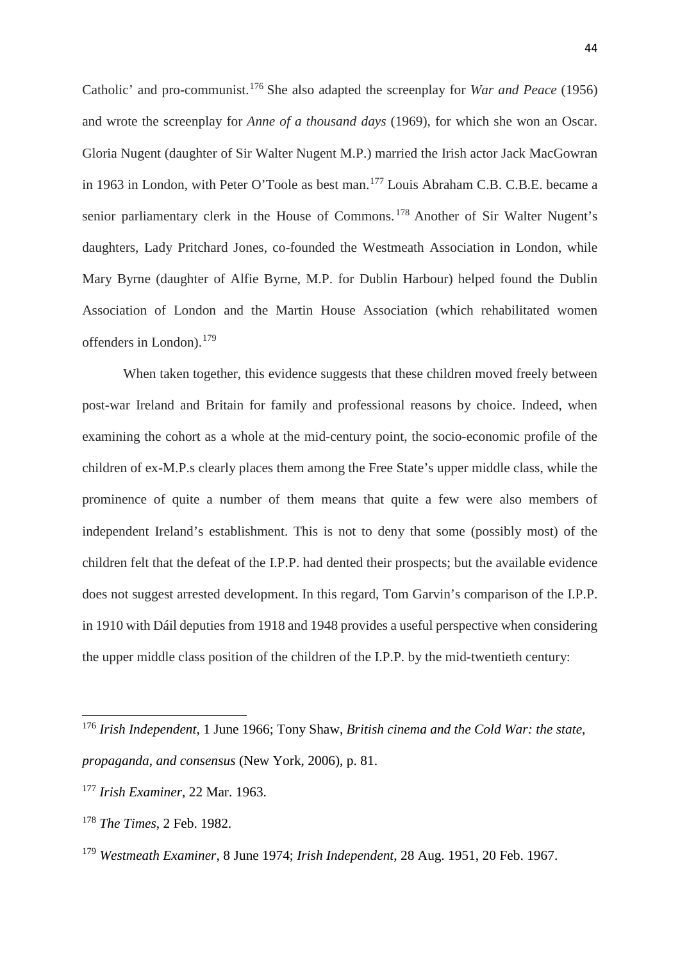Catholic' and pro-communist. [176](#page-44-0) She also adapted the screenplay for *War and Peace* (1956) and wrote the screenplay for *Anne of a thousand days* (1969), for which she won an Oscar. Gloria Nugent (daughter of Sir Walter Nugent M.P.) married the Irish actor Jack MacGowran in 1963 in London, with Peter O'Toole as best man.<sup>[177](#page-44-1)</sup> Louis Abraham C.B. C.B.E. became a senior parliamentary clerk in the House of Commons. [178](#page-44-2) Another of Sir Walter Nugent's daughters, Lady Pritchard Jones, co-founded the Westmeath Association in London, while Mary Byrne (daughter of Alfie Byrne, M.P. for Dublin Harbour) helped found the Dublin Association of London and the Martin House Association (which rehabilitated women offenders in London).[179](#page-44-3)

When taken together, this evidence suggests that these children moved freely between post-war Ireland and Britain for family and professional reasons by choice. Indeed, when examining the cohort as a whole at the mid-century point, the socio-economic profile of the children of ex-M.P.s clearly places them among the Free State's upper middle class, while the prominence of quite a number of them means that quite a few were also members of independent Ireland's establishment. This is not to deny that some (possibly most) of the children felt that the defeat of the I.P.P. had dented their prospects; but the available evidence does not suggest arrested development. In this regard, Tom Garvin's comparison of the I.P.P. in 1910 with Dáil deputies from 1918 and 1948 provides a useful perspective when considering the upper middle class position of the children of the I.P.P. by the mid-twentieth century:

<span id="page-44-0"></span><sup>176</sup> *Irish Independent*, 1 June 1966; Tony Shaw, *British cinema and the Cold War: the state, propaganda, and consensus* (New York, 2006), p. 81.

<span id="page-44-1"></span><sup>177</sup> *Irish Examiner*, 22 Mar. 1963.

<span id="page-44-2"></span><sup>178</sup> *The Times*, 2 Feb. 1982.

<span id="page-44-3"></span><sup>179</sup> *Westmeath Examiner*, 8 June 1974; *Irish Independent*, 28 Aug. 1951, 20 Feb. 1967.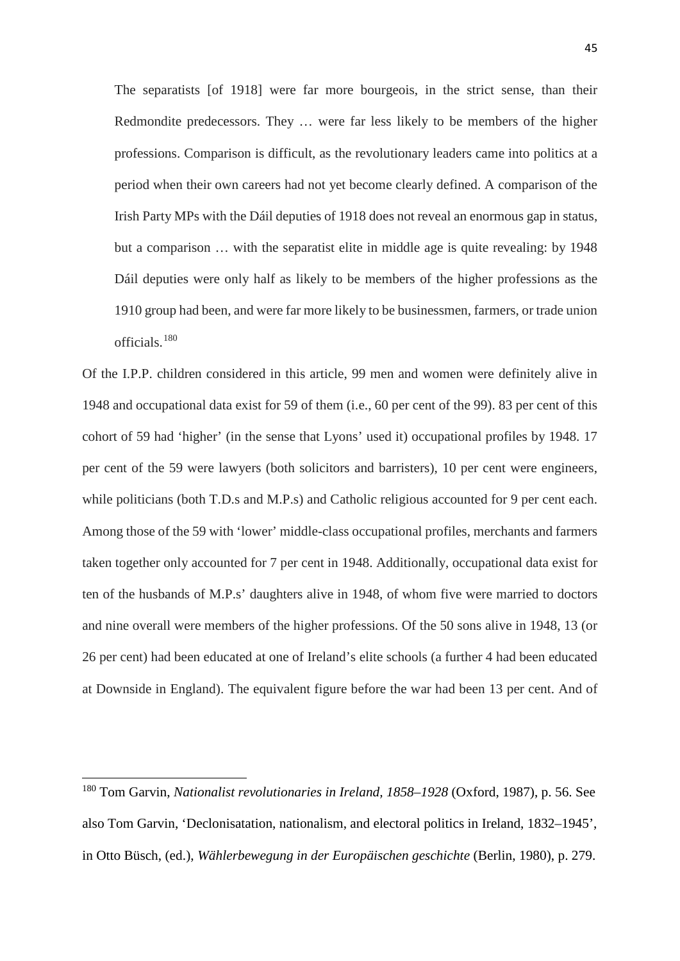The separatists [of 1918] were far more bourgeois, in the strict sense, than their Redmondite predecessors. They … were far less likely to be members of the higher professions. Comparison is difficult, as the revolutionary leaders came into politics at a period when their own careers had not yet become clearly defined. A comparison of the Irish Party MPs with the Dáil deputies of 1918 does not reveal an enormous gap in status, but a comparison … with the separatist elite in middle age is quite revealing: by 1948 Dáil deputies were only half as likely to be members of the higher professions as the 1910 group had been, and were far more likely to be businessmen, farmers, or trade union officials.[180](#page-45-0)

Of the I.P.P. children considered in this article, 99 men and women were definitely alive in 1948 and occupational data exist for 59 of them (i.e., 60 per cent of the 99). 83 per cent of this cohort of 59 had 'higher' (in the sense that Lyons' used it) occupational profiles by 1948. 17 per cent of the 59 were lawyers (both solicitors and barristers), 10 per cent were engineers, while politicians (both T.D.s and M.P.s) and Catholic religious accounted for 9 per cent each. Among those of the 59 with 'lower' middle-class occupational profiles, merchants and farmers taken together only accounted for 7 per cent in 1948. Additionally, occupational data exist for ten of the husbands of M.P.s' daughters alive in 1948, of whom five were married to doctors and nine overall were members of the higher professions. Of the 50 sons alive in 1948, 13 (or 26 per cent) had been educated at one of Ireland's elite schools (a further 4 had been educated at Downside in England). The equivalent figure before the war had been 13 per cent. And of

<u>.</u>

<span id="page-45-0"></span><sup>180</sup> Tom Garvin, *Nationalist revolutionaries in Ireland, 1858–1928* (Oxford, 1987), p. 56. See also Tom Garvin, 'Declonisatation, nationalism, and electoral politics in Ireland, 1832–1945', in Otto Büsch, (ed.), *Wählerbewegung in der Europäischen geschichte* (Berlin, 1980), p. 279.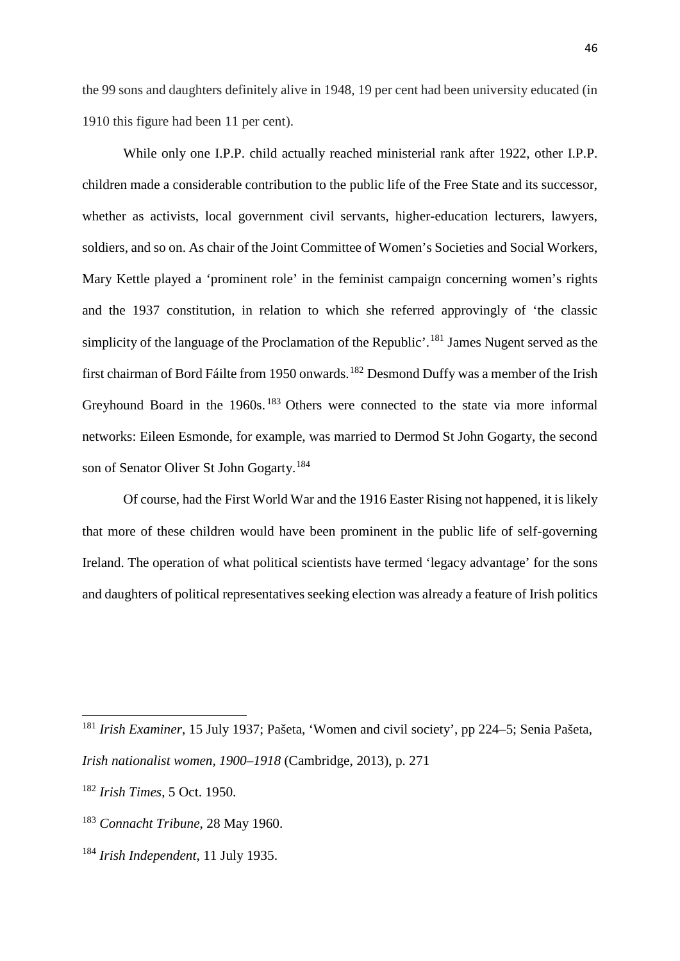the 99 sons and daughters definitely alive in 1948, 19 per cent had been university educated (in 1910 this figure had been 11 per cent).

While only one I.P.P. child actually reached ministerial rank after 1922, other I.P.P. children made a considerable contribution to the public life of the Free State and its successor, whether as activists, local government civil servants, higher-education lecturers, lawyers, soldiers, and so on. As chair of the Joint Committee of Women's Societies and Social Workers, Mary Kettle played a 'prominent role' in the feminist campaign concerning women's rights and the 1937 constitution, in relation to which she referred approvingly of 'the classic simplicity of the language of the Proclamation of the Republic'.<sup>[181](#page-46-0)</sup> James Nugent served as the first chairman of Bord Fáilte from 1950 onwards.<sup>[182](#page-46-1)</sup> Desmond Duffy was a member of the Irish Greyhound Board in the 1960s. <sup>[183](#page-46-2)</sup> Others were connected to the state via more informal networks: Eileen Esmonde, for example, was married to Dermod St John Gogarty, the second son of Senator Oliver St John Gogarty.[184](#page-46-3)

Of course, had the First World War and the 1916 Easter Rising not happened, it is likely that more of these children would have been prominent in the public life of self-governing Ireland. The operation of what political scientists have termed 'legacy advantage' for the sons and daughters of political representatives seeking election was already a feature of Irish politics

<span id="page-46-0"></span><sup>181</sup> *Irish Examiner*, 15 July 1937; Pašeta, 'Women and civil society', pp 224–5; Senia Pašeta, *Irish nationalist women, 1900–1918* (Cambridge, 2013), p. 271

<span id="page-46-1"></span><sup>182</sup> *Irish Times*, 5 Oct. 1950.

<span id="page-46-2"></span><sup>183</sup> *Connacht Tribune*, 28 May 1960.

<span id="page-46-3"></span><sup>184</sup> *Irish Independent*, 11 July 1935.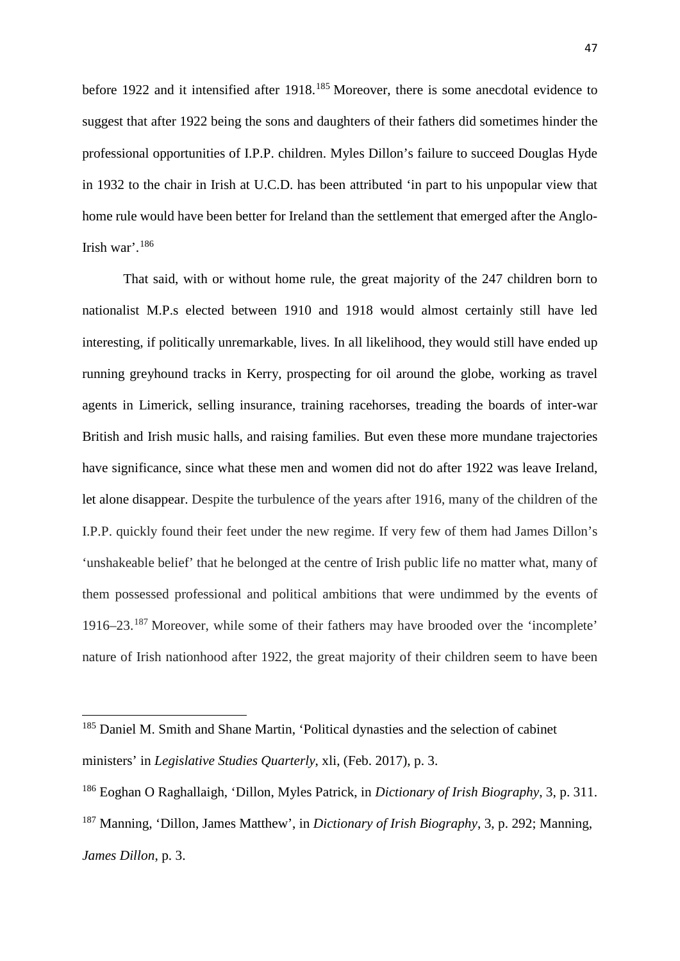before 1922 and it intensified after 1918.<sup>[185](#page-47-0)</sup> Moreover, there is some anecdotal evidence to suggest that after 1922 being the sons and daughters of their fathers did sometimes hinder the professional opportunities of I.P.P. children. Myles Dillon's failure to succeed Douglas Hyde in 1932 to the chair in Irish at U.C.D. has been attributed 'in part to his unpopular view that home rule would have been better for Ireland than the settlement that emerged after the Anglo-Irish war'.[186](#page-47-1)

That said, with or without home rule, the great majority of the 247 children born to nationalist M.P.s elected between 1910 and 1918 would almost certainly still have led interesting, if politically unremarkable, lives. In all likelihood, they would still have ended up running greyhound tracks in Kerry, prospecting for oil around the globe, working as travel agents in Limerick, selling insurance, training racehorses, treading the boards of inter-war British and Irish music halls, and raising families. But even these more mundane trajectories have significance, since what these men and women did not do after 1922 was leave Ireland, let alone disappear. Despite the turbulence of the years after 1916, many of the children of the I.P.P. quickly found their feet under the new regime. If very few of them had James Dillon's 'unshakeable belief' that he belonged at the centre of Irish public life no matter what, many of them possessed professional and political ambitions that were undimmed by the events of 1916–23. [187](#page-47-2) Moreover, while some of their fathers may have brooded over the 'incomplete' nature of Irish nationhood after 1922, the great majority of their children seem to have been

<span id="page-47-0"></span><sup>&</sup>lt;sup>185</sup> Daniel M. Smith and Shane Martin, 'Political dynasties and the selection of cabinet ministers' in *Legislative Studies Quarterly*, xli, (Feb. 2017), p. 3.

<span id="page-47-2"></span><span id="page-47-1"></span><sup>186</sup> Eoghan O Raghallaigh, 'Dillon, Myles Patrick, in *Dictionary of Irish Biography*, 3, p. 311. <sup>187</sup> Manning, 'Dillon, James Matthew', in *Dictionary of Irish Biography*, 3, p. 292; Manning, *James Dillon*, p. 3.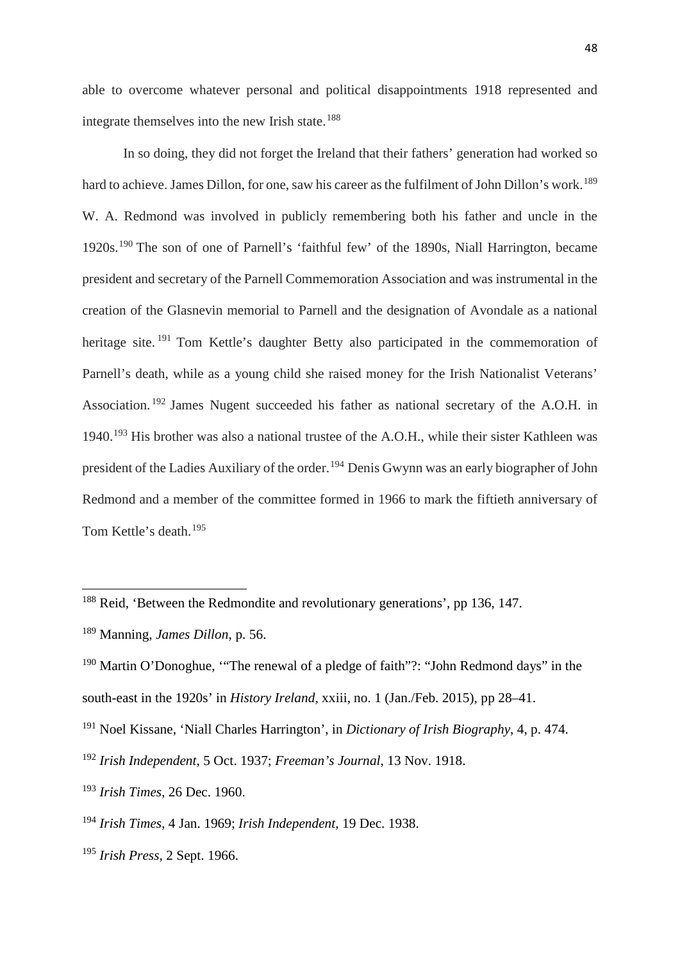able to overcome whatever personal and political disappointments 1918 represented and integrate themselves into the new Irish state.<sup>[188](#page-48-0)</sup>

In so doing, they did not forget the Ireland that their fathers' generation had worked so hard to achieve. James Dillon, for one, saw his career as the fulfilment of John Dillon's work.<sup>[189](#page-48-1)</sup> W. A. Redmond was involved in publicly remembering both his father and uncle in the 1920s.[190](#page-48-2) The son of one of Parnell's 'faithful few' of the 1890s, Niall Harrington, became president and secretary of the Parnell Commemoration Association and was instrumental in the creation of the Glasnevin memorial to Parnell and the designation of Avondale as a national heritage site.<sup>[191](#page-48-3)</sup> Tom Kettle's daughter Betty also participated in the commemoration of Parnell's death, while as a young child she raised money for the Irish Nationalist Veterans' Association. [192](#page-48-4) James Nugent succeeded his father as national secretary of the A.O.H. in 1940.[193](#page-48-5) His brother was also a national trustee of the A.O.H., while their sister Kathleen was president of the Ladies Auxiliary of the order.[194](#page-48-6) Denis Gwynn was an early biographer of John Redmond and a member of the committee formed in 1966 to mark the fiftieth anniversary of Tom Kettle's death. [195](#page-48-7)

 $\overline{a}$ 

<span id="page-48-7"></span><sup>195</sup> *Irish Press*, 2 Sept. 1966.

<span id="page-48-0"></span><sup>&</sup>lt;sup>188</sup> Reid, 'Between the Redmondite and revolutionary generations', pp 136, 147.

<span id="page-48-1"></span><sup>189</sup> Manning, *James Dillon*, p. 56.

<span id="page-48-2"></span><sup>190</sup> Martin O'Donoghue, '"The renewal of a pledge of faith"?: "John Redmond days" in the south-east in the 1920s' in *History Ireland*, xxiii, no. 1 (Jan./Feb. 2015), pp 28–41.

<span id="page-48-3"></span><sup>191</sup> Noel Kissane, 'Niall Charles Harrington', in *Dictionary of Irish Biography*, 4, p. 474.

<span id="page-48-4"></span><sup>192</sup> *Irish Independent*, 5 Oct. 1937; *Freeman's Journal*, 13 Nov. 1918.

<span id="page-48-5"></span><sup>193</sup> *Irish Times*, 26 Dec. 1960.

<span id="page-48-6"></span><sup>194</sup> *Irish Times*, 4 Jan. 1969; *Irish Independent*, 19 Dec. 1938.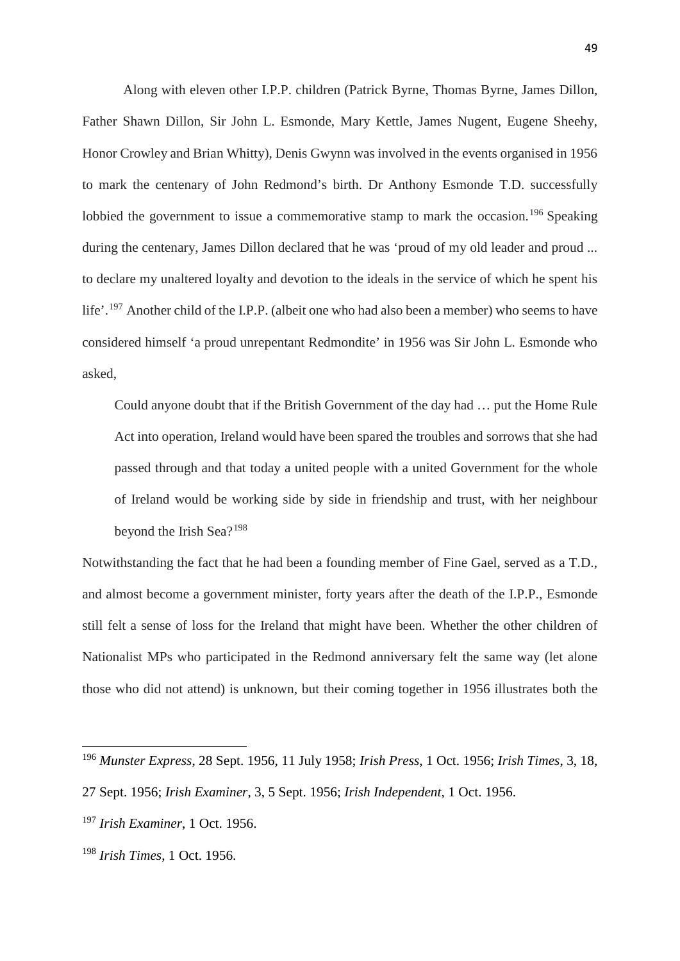Along with eleven other I.P.P. children (Patrick Byrne, Thomas Byrne, James Dillon, Father Shawn Dillon, Sir John L. Esmonde, Mary Kettle, James Nugent, Eugene Sheehy, Honor Crowley and Brian Whitty), Denis Gwynn was involved in the events organised in 1956 to mark the centenary of John Redmond's birth. Dr Anthony Esmonde T.D. successfully lobbied the government to issue a commemorative stamp to mark the occasion.<sup>[196](#page-49-0)</sup> Speaking during the centenary, James Dillon declared that he was 'proud of my old leader and proud ... to declare my unaltered loyalty and devotion to the ideals in the service of which he spent his life'.<sup>[197](#page-49-1)</sup> Another child of the I.P.P. (albeit one who had also been a member) who seems to have considered himself 'a proud unrepentant Redmondite' in 1956 was Sir John L. Esmonde who asked,

Could anyone doubt that if the British Government of the day had … put the Home Rule Act into operation, Ireland would have been spared the troubles and sorrows that she had passed through and that today a united people with a united Government for the whole of Ireland would be working side by side in friendship and trust, with her neighbour beyond the Irish Sea?[198](#page-49-2)

Notwithstanding the fact that he had been a founding member of Fine Gael, served as a T.D., and almost become a government minister, forty years after the death of the I.P.P., Esmonde still felt a sense of loss for the Ireland that might have been. Whether the other children of Nationalist MPs who participated in the Redmond anniversary felt the same way (let alone those who did not attend) is unknown, but their coming together in 1956 illustrates both the

<span id="page-49-0"></span><sup>196</sup> *Munster Express*, 28 Sept. 1956, 11 July 1958; *Irish Press*, 1 Oct. 1956; *Irish Times*, 3, 18,

<sup>27</sup> Sept. 1956; *Irish Examiner*, 3, 5 Sept. 1956; *Irish Independent*, 1 Oct. 1956.

<span id="page-49-1"></span><sup>197</sup> *Irish Examiner*, 1 Oct. 1956.

<span id="page-49-2"></span><sup>198</sup> *Irish Times*, 1 Oct. 1956.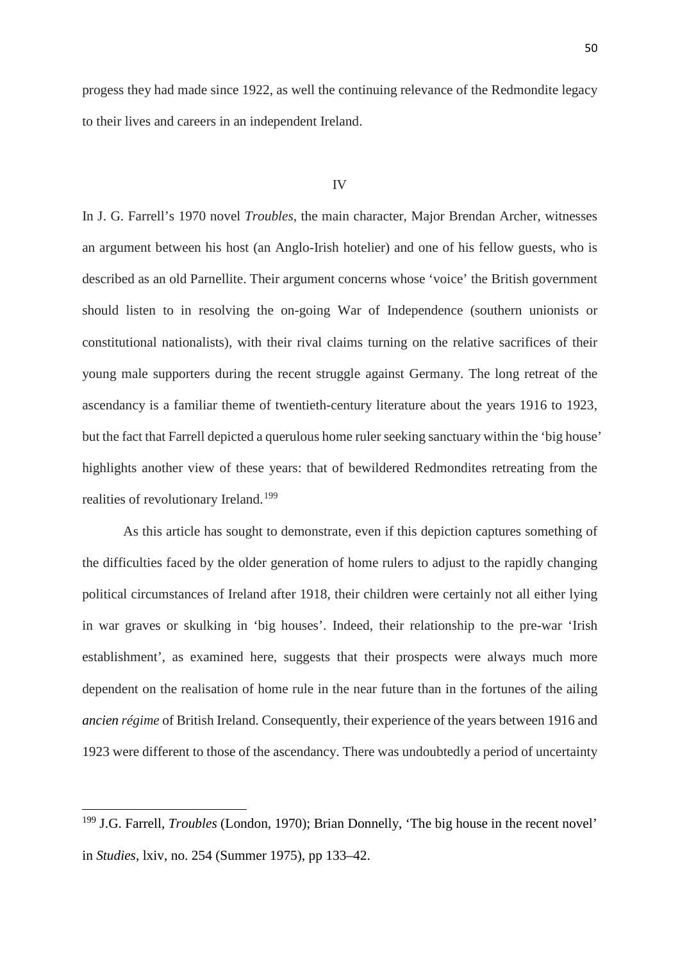progess they had made since 1922, as well the continuing relevance of the Redmondite legacy to their lives and careers in an independent Ireland.

#### IV

In J. G. Farrell's 1970 novel *Troubles*, the main character, Major Brendan Archer, witnesses an argument between his host (an Anglo-Irish hotelier) and one of his fellow guests, who is described as an old Parnellite. Their argument concerns whose 'voice' the British government should listen to in resolving the on-going War of Independence (southern unionists or constitutional nationalists), with their rival claims turning on the relative sacrifices of their young male supporters during the recent struggle against Germany. The long retreat of the ascendancy is a familiar theme of twentieth-century literature about the years 1916 to 1923, but the fact that Farrell depicted a querulous home ruler seeking sanctuary within the 'big house' highlights another view of these years: that of bewildered Redmondites retreating from the realities of revolutionary Ireland.<sup>[199](#page-50-0)</sup>

As this article has sought to demonstrate, even if this depiction captures something of the difficulties faced by the older generation of home rulers to adjust to the rapidly changing political circumstances of Ireland after 1918, their children were certainly not all either lying in war graves or skulking in 'big houses'. Indeed, their relationship to the pre-war 'Irish establishment', as examined here, suggests that their prospects were always much more dependent on the realisation of home rule in the near future than in the fortunes of the ailing *ancien régime* of British Ireland. Consequently, their experience of the years between 1916 and 1923 were different to those of the ascendancy. There was undoubtedly a period of uncertainty

<span id="page-50-0"></span><sup>199</sup> J.G. Farrell, *Troubles* (London, 1970); Brian Donnelly, 'The big house in the recent novel' in *Studies*, lxiv, no. 254 (Summer 1975), pp 133–42.